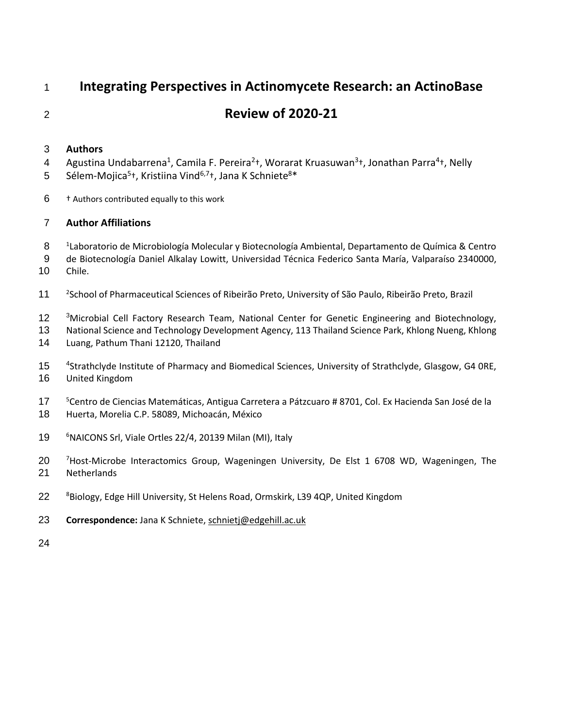# **Integrating Perspectives in Actinomycete Research: an ActinoBase**

# **Review of 2020-21**

# **Authors**

- 4 Agustina Undabarrena<sup>1</sup>, Camila F. Pereira<sup>2</sup>t, Worarat Kruasuwan<sup>3</sup>t, Jonathan Parra<sup>4</sup>t, Nelly
- 5 Sélem-Mojica<sup>5</sup>†, Kristiina Vind<sup>6,7</sup>†, Jana K Schniete<sup>8\*</sup>
- † Authors contributed equally to this work

# **Author Affiliations**

- <sup>1</sup> Laboratorio de Microbiología Molecular y Biotecnología Ambiental, Departamento de Química & Centro
- de Biotecnología Daniel Alkalay Lowitt, Universidad Técnica Federico Santa María, Valparaíso 2340000, Chile.
- 11 <sup>2</sup> School of Pharmaceutical Sciences of Ribeirão Preto, University of São Paulo, Ribeirão Preto, Brazil
- 12 <sup>3</sup>Microbial Cell Factory Research Team, National Center for Genetic Engineering and Biotechnology,
- National Science and Technology Development Agency, 113 Thailand Science Park, Khlong Nueng, Khlong Luang, Pathum Thani 12120, Thailand
- 15 <sup>4</sup> Strathclyde Institute of Pharmacy and Biomedical Sciences, University of Strathclyde, Glasgow, G4 0RE, United Kingdom
- 17 <sup>5</sup> Centro de Ciencias Matemáticas, Antigua Carretera a Pátzcuaro # 8701, Col. Ex Hacienda San José de la
- Huerta, Morelia C.P. 58089, Michoacán, México
- 19 <sup>6</sup> NAICONS Srl, Viale Ortles 22/4, 20139 Milan (MI), Italy
- 20 <sup>7</sup> Host-Microbe Interactomics Group, Wageningen University, De Elst 1 6708 WD, Wageningen, The Netherlands
- 22 <sup>8</sup> Biology, Edge Hill University, St Helens Road, Ormskirk, L39 4QP, United Kingdom
- **Correspondence:** Jana K Schniete[, schnietj@edgehill.ac.uk](mailto:schnietj@edgehill.ac.uk)
-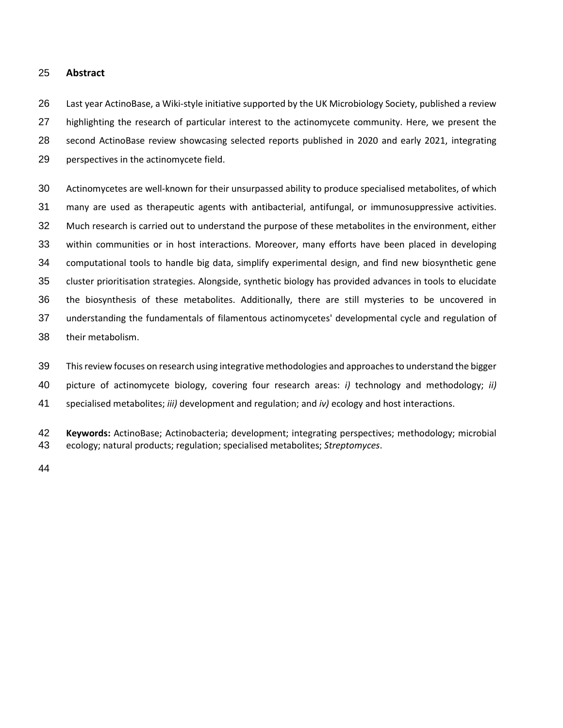### **Abstract**

 Last year ActinoBase, a Wiki-style initiative supported by the UK Microbiology Society, published a review highlighting the research of particular interest to the actinomycete community. Here, we present the second ActinoBase review showcasing selected reports published in 2020 and early 2021, integrating perspectives in the actinomycete field.

 Actinomycetes are well-known for their unsurpassed ability to produce specialised metabolites, of which many are used as therapeutic agents with antibacterial, antifungal, or immunosuppressive activities. Much research is carried out to understand the purpose of these metabolites in the environment, either within communities or in host interactions. Moreover, many efforts have been placed in developing computational tools to handle big data, simplify experimental design, and find new biosynthetic gene cluster prioritisation strategies. Alongside, synthetic biology has provided advances in tools to elucidate the biosynthesis of these metabolites. Additionally, there are still mysteries to be uncovered in understanding the fundamentals of filamentous actinomycetes' developmental cycle and regulation of their metabolism.

This review focuses on research using integrative methodologies and approaches to understand the bigger

picture of actinomycete biology, covering four research areas: *i)* technology and methodology; *ii)*

specialised metabolites; *iii)* development and regulation; and *iv)* ecology and host interactions.

 **Keywords:** ActinoBase; Actinobacteria; development; integrating perspectives; methodology; microbial ecology; natural products; regulation; specialised metabolites; *Streptomyces*.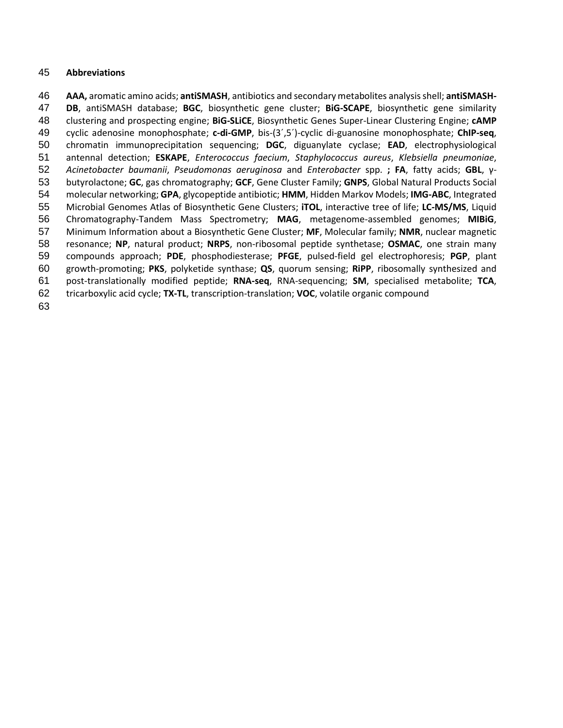### **Abbreviations**

 **AAA,** aromatic amino acids; **antiSMASH**, antibiotics and secondary metabolites analysis shell; **antiSMASH- DB**, antiSMASH database; **BGC**, biosynthetic gene cluster; **BiG-SCAPE**, biosynthetic gene similarity clustering and prospecting engine; **BiG-SLiCE**, Biosynthetic Genes Super-Linear Clustering Engine; **cAMP** cyclic adenosine monophosphate; **c-di-GMP**, bis-(3´,5´)-cyclic di-guanosine monophosphate; **ChIP-seq**, chromatin immunoprecipitation sequencing; **DGC**, diguanylate cyclase; **EAD**, electrophysiological antennal detection; **ESKAPE**, *Enterococcus faecium*, *Staphylococcus aureus*, *Klebsiella pneumoniae*, *Acinetobacter baumanii*, *Pseudomonas aeruginosa* and *Enterobacter* spp. **; FA**, fatty acids; **GBL**, γ- butyrolactone; **GC**, gas chromatography; **GCF**, Gene Cluster Family; **GNPS**, Global Natural Products Social molecular networking; **GPA**, glycopeptide antibiotic; **HMM**, Hidden Markov Models; **IMG-ABC**, Integrated Microbial Genomes Atlas of Biosynthetic Gene Clusters; **iTOL**, interactive tree of life; **LC-MS/MS**, Liquid Chromatography-Tandem Mass Spectrometry; **MAG**, metagenome-assembled genomes; **MIBiG**, Minimum Information about a Biosynthetic Gene Cluster; **MF**, Molecular family; **NMR**, nuclear magnetic resonance; **NP**, natural product; **NRPS**, non-ribosomal peptide synthetase; **OSMAC**, one strain many compounds approach; **PDE**, phosphodiesterase; **PFGE**, pulsed-field gel electrophoresis; **PGP**, plant growth-promoting; **PKS**, polyketide synthase; **QS**, quorum sensing; **RiPP**, ribosomally synthesized and post-translationally modified peptide; **RNA-seq**, RNA-sequencing; **SM**, specialised metabolite; **TCA**, tricarboxylic acid cycle; **TX-TL**, transcription-translation; **VOC**, volatile organic compound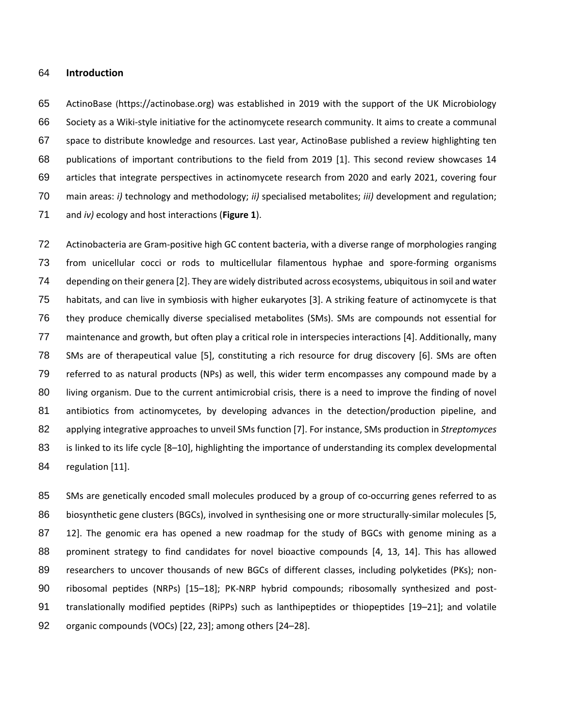#### **Introduction**

 ActinoBase (https://actinobase.org) was established in 2019 with the support of the UK Microbiology Society as a Wiki-style initiative for the actinomycete research community. It aims to create a communal space to distribute knowledge and resources. Last year, ActinoBase published a review highlighting ten publications of important contributions to the field from 2019 [1]. This second review showcases 14 articles that integrate perspectives in actinomycete research from 2020 and early 2021, covering four main areas: *i)* technology and methodology; *ii)* specialised metabolites; *iii)* development and regulation; and *iv)* ecology and host interactions (**Figure 1**).

 Actinobacteria are Gram-positive high GC content bacteria, with a diverse range of morphologies ranging from unicellular cocci or rods to multicellular filamentous hyphae and spore-forming organisms depending on their genera [2]. They are widely distributed across ecosystems, ubiquitous in soil and water habitats, and can live in symbiosis with higher eukaryotes [3]. A striking feature of actinomycete is that they produce chemically diverse specialised metabolites (SMs). SMs are compounds not essential for maintenance and growth, but often play a critical role in interspecies interactions [4]. Additionally, many SMs are of therapeutical value [5], constituting a rich resource for drug discovery [6]. SMs are often referred to as natural products (NPs) as well, this wider term encompasses any compound made by a living organism. Due to the current antimicrobial crisis, there is a need to improve the finding of novel antibiotics from actinomycetes, by developing advances in the detection/production pipeline, and applying integrative approaches to unveil SMs function [7]. For instance, SMs production in *Streptomyces*  is linked to its life cycle [8–10], highlighting the importance of understanding its complex developmental regulation [11].

85 SMs are genetically encoded small molecules produced by a group of co-occurring genes referred to as 86 biosynthetic gene clusters (BGCs), involved in synthesising one or more structurally-similar molecules [5, 87 12]. The genomic era has opened a new roadmap for the study of BGCs with genome mining as a prominent strategy to find candidates for novel bioactive compounds [4, 13, 14]. This has allowed researchers to uncover thousands of new BGCs of different classes, including polyketides (PKs); non- ribosomal peptides (NRPs) [15–18]; PK-NRP hybrid compounds; ribosomally synthesized and post-91 translationally modified peptides (RiPPs) such as lanthipeptides or thiopeptides [19–21]; and volatile organic compounds (VOCs) [22, 23]; among others [24–28].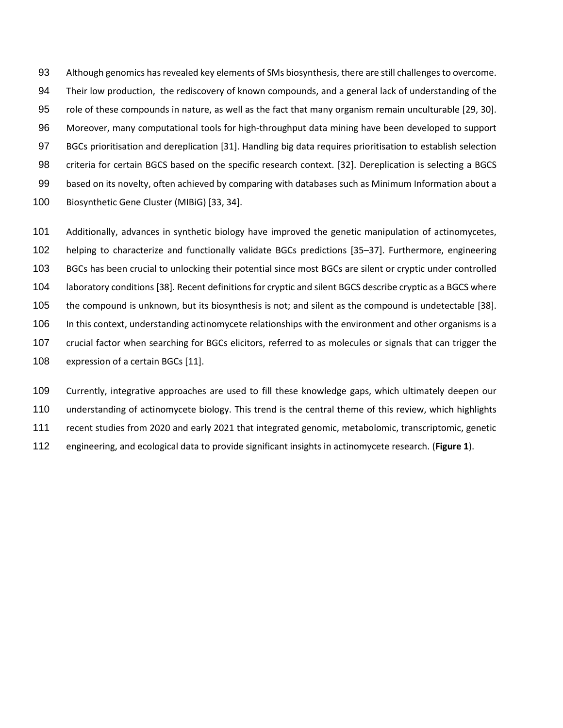Although genomics has revealed key elements of SMs biosynthesis, there are still challenges to overcome. Their low production, the rediscovery of known compounds, and a general lack of understanding of the role of these compounds in nature, as well as the fact that many organism remain unculturable [29, 30]. Moreover, many computational tools for high-throughput data mining have been developed to support BGCs prioritisation and dereplication [31]. Handling big data requires prioritisation to establish selection criteria for certain BGCS based on the specific research context. [32]. Dereplication is selecting a BGCS based on its novelty, often achieved by comparing with databases such as Minimum Information about a Biosynthetic Gene Cluster (MIBiG) [33, 34].

 Additionally, advances in synthetic biology have improved the genetic manipulation of actinomycetes, helping to characterize and functionally validate BGCs predictions [35–37]. Furthermore, engineering BGCs has been crucial to unlocking their potential since most BGCs are silent or cryptic under controlled laboratory conditions [38]. Recent definitions for cryptic and silent BGCS describe cryptic as a BGCS where the compound is unknown, but its biosynthesis is not; and silent as the compound is undetectable [38]. In this context, understanding actinomycete relationships with the environment and other organisms is a crucial factor when searching for BGCs elicitors, referred to as molecules or signals that can trigger the 108 expression of a certain BGCs [11].

 Currently, integrative approaches are used to fill these knowledge gaps, which ultimately deepen our understanding of actinomycete biology. This trend is the central theme of this review, which highlights recent studies from 2020 and early 2021 that integrated genomic, metabolomic, transcriptomic, genetic engineering, and ecological data to provide significant insights in actinomycete research. (**Figure 1**).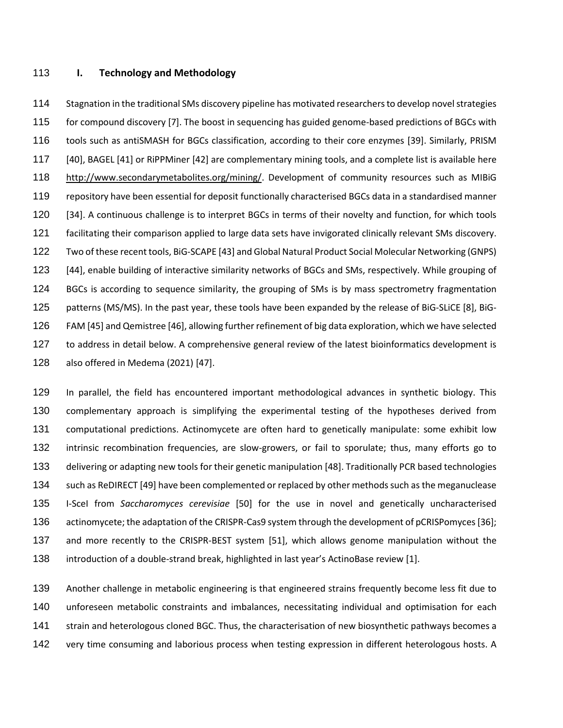#### **I. Technology and Methodology**

 Stagnation in the traditional SMs discovery pipeline has motivated researchers to develop novel strategies for compound discovery [7]. The boost in sequencing has guided genome-based predictions of BGCs with tools such as antiSMASH for BGCs classification, according to their core enzymes [39]. Similarly, PRISM [40], BAGEL [41] or RiPPMiner [42] are complementary mining tools, and a complete list is available here [http://www.secondarymetabolites.org/mining/.](http://www.secondarymetabolites.org/mining/) Development of community resources such as MIBiG repository have been essential for deposit functionally characterised BGCs data in a standardised manner [34]. A continuous challenge is to interpret BGCs in terms of their novelty and function, for which tools facilitating their comparison applied to large data sets have invigorated clinically relevant SMs discovery. Two of these recent tools, BiG-SCAPE [43] and Global Natural Product Social Molecular Networking (GNPS) [44], enable building of interactive similarity networks of BGCs and SMs, respectively. While grouping of BGCs is according to sequence similarity, the grouping of SMs is by mass spectrometry fragmentation patterns (MS/MS). In the past year, these tools have been expanded by the release of BiG-SLiCE [8], BiG- FAM [45] and Qemistree [46], allowing further refinement of big data exploration, which we have selected 127 to address in detail below. A comprehensive general review of the latest bioinformatics development is also offered in Medema (2021) [47].

 In parallel, the field has encountered important methodological advances in synthetic biology. This complementary approach is simplifying the experimental testing of the hypotheses derived from computational predictions. Actinomycete are often hard to genetically manipulate: some exhibit low intrinsic recombination frequencies, are slow-growers, or fail to sporulate; thus, many efforts go to delivering or adapting new tools for their genetic manipulation [48]. Traditionally PCR based technologies such as ReDIRECT [49] have been complemented or replaced by other methods such as the meganuclease I-SceI from *Saccharomyces cerevisiae* [50] for the use in novel and genetically uncharacterised actinomycete; the adaptation of the CRISPR-Cas9 system through the development of pCRISPomyces [36]; and more recently to the CRISPR-BEST system [51], which allows genome manipulation without the introduction of a double-strand break, highlighted in last year's ActinoBase review [1].

 Another challenge in metabolic engineering is that engineered strains frequently become less fit due to unforeseen metabolic constraints and imbalances, necessitating individual and optimisation for each strain and heterologous cloned BGC. Thus, the characterisation of new biosynthetic pathways becomes a 142 very time consuming and laborious process when testing expression in different heterologous hosts. A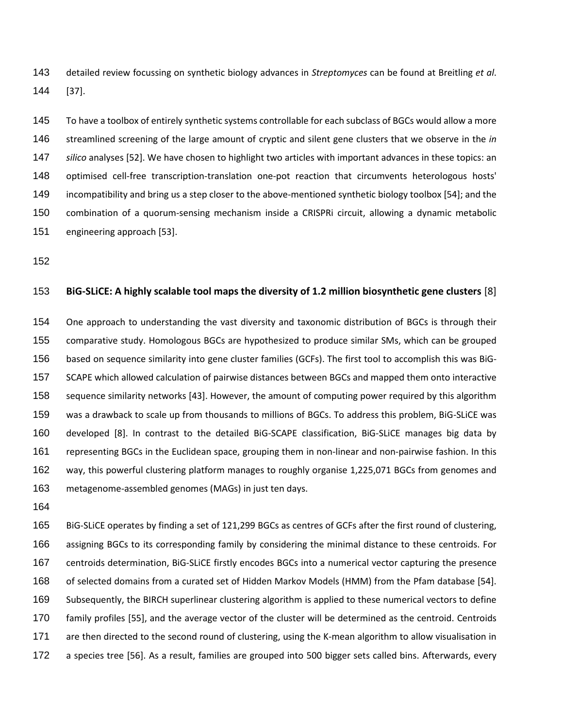detailed review focussing on synthetic biology advances in *Streptomyces* can be found at Breitling *et al*. [37].

 To have a toolbox of entirely synthetic systems controllable for each subclass of BGCs would allow a more streamlined screening of the large amount of cryptic and silent gene clusters that we observe in the *in silico* analyses [52]. We have chosen to highlight two articles with important advances in these topics: an optimised cell-free transcription-translation one-pot reaction that circumvents heterologous hosts' incompatibility and bring us a step closer to the above-mentioned synthetic biology toolbox [54]; and the combination of a quorum-sensing mechanism inside a CRISPRi circuit, allowing a dynamic metabolic engineering approach [53].

#### **BiG-SLiCE: A highly scalable tool maps the diversity of 1.2 million biosynthetic gene clusters** [8]

 One approach to understanding the vast diversity and taxonomic distribution of BGCs is through their comparative study. Homologous BGCs are hypothesized to produce similar SMs, which can be grouped based on sequence similarity into gene cluster families (GCFs). The first tool to accomplish this was BiG- SCAPE which allowed calculation of pairwise distances between BGCs and mapped them onto interactive sequence similarity networks [43]. However, the amount of computing power required by this algorithm was a drawback to scale up from thousands to millions of BGCs. To address this problem, BiG-SLiCE was developed [8]. In contrast to the detailed BiG-SCAPE classification, BiG-SLiCE manages big data by representing BGCs in the Euclidean space, grouping them in non-linear and non-pairwise fashion. In this way, this powerful clustering platform manages to roughly organise 1,225,071 BGCs from genomes and metagenome-assembled genomes (MAGs) in just ten days.

 BiG-SLiCE operates by finding a set of 121,299 BGCs as centres of GCFs after the first round of clustering, assigning BGCs to its corresponding family by considering the minimal distance to these centroids. For centroids determination, BiG-SLiCE firstly encodes BGCs into a numerical vector capturing the presence of selected domains from a curated set of Hidden Markov Models (HMM) from the Pfam database [54]. Subsequently, the BIRCH superlinear clustering algorithm is applied to these numerical vectors to define family profiles [55], and the average vector of the cluster will be determined as the centroid. Centroids are then directed to the second round of clustering, using the K-mean algorithm to allow visualisation in a species tree [56]. As a result, families are grouped into 500 bigger sets called bins. Afterwards, every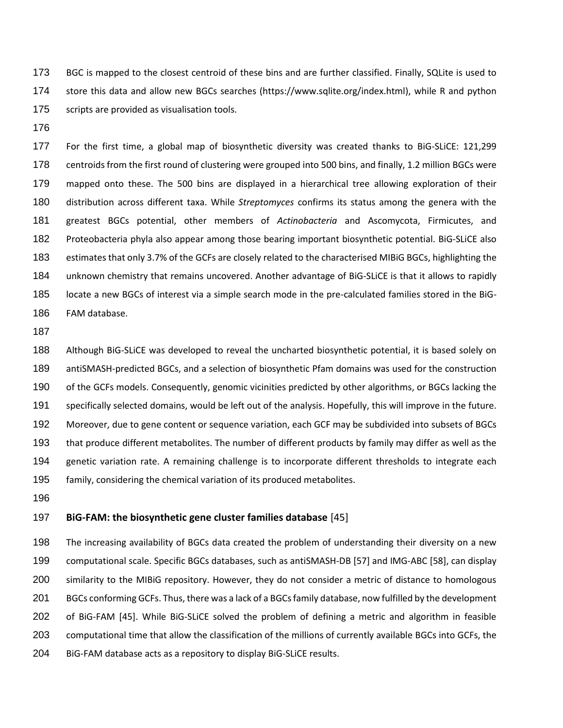BGC is mapped to the closest centroid of these bins and are further classified. Finally, SQLite is used to store this data and allow new BGCs searches (https://www.sqlite.org/index.html), while R and python 175 scripts are provided as visualisation tools.

 For the first time, a global map of biosynthetic diversity was created thanks to BiG-SLiCE: 121,299 centroids from the first round of clustering were grouped into 500 bins, and finally, 1.2 million BGCs were mapped onto these. The 500 bins are displayed in a hierarchical tree allowing exploration of their distribution across different taxa. While *Streptomyces* confirms its status among the genera with the greatest BGCs potential, other members of *Actinobacteria* and Ascomycota, Firmicutes, and Proteobacteria phyla also appear among those bearing important biosynthetic potential. BiG-SLiCE also estimates that only 3.7% of the GCFs are closely related to the characterised MIBiG BGCs, highlighting the unknown chemistry that remains uncovered. Another advantage of BiG-SLiCE is that it allows to rapidly locate a new BGCs of interest via a simple search mode in the pre-calculated families stored in the BiG-FAM database.

 Although BiG-SLiCE was developed to reveal the uncharted biosynthetic potential, it is based solely on antiSMASH-predicted BGCs, and a selection of biosynthetic Pfam domains was used for the construction of the GCFs models. Consequently, genomic vicinities predicted by other algorithms, or BGCs lacking the specifically selected domains, would be left out of the analysis. Hopefully, this will improve in the future. Moreover, due to gene content or sequence variation, each GCF may be subdivided into subsets of BGCs that produce different metabolites. The number of different products by family may differ as well as the genetic variation rate. A remaining challenge is to incorporate different thresholds to integrate each family, considering the chemical variation of its produced metabolites.

# **BiG-FAM: the biosynthetic gene cluster families database** [45]

 The increasing availability of BGCs data created the problem of understanding their diversity on a new computational scale. Specific BGCs databases, such as antiSMASH-DB [57] and IMG-ABC [58], can display similarity to the MIBiG repository. However, they do not consider a metric of distance to homologous BGCs conforming GCFs. Thus, there was a lack of a BGCsfamily database, now fulfilled by the development of BiG-FAM [45]. While BiG-SLiCE solved the problem of defining a metric and algorithm in feasible computational time that allow the classification of the millions of currently available BGCs into GCFs, the BiG-FAM database acts as a repository to display BiG-SLiCE results.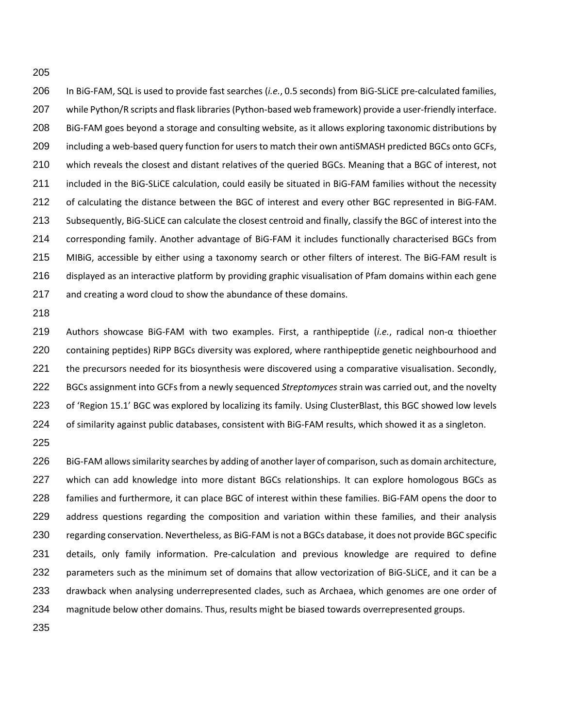In BiG-FAM, SQL is used to provide fast searches (*i.e.*, 0.5 seconds) from BiG-SLiCE pre-calculated families, while Python/R scripts and flask libraries(Python-based web framework) provide a user-friendly interface. BiG-FAM goes beyond a storage and consulting website, as it allows exploring taxonomic distributions by including a web-based query function for users to match their own antiSMASH predicted BGCs onto GCFs, which reveals the closest and distant relatives of the queried BGCs. Meaning that a BGC of interest, not included in the BiG-SLiCE calculation, could easily be situated in BiG-FAM families without the necessity of calculating the distance between the BGC of interest and every other BGC represented in BiG-FAM. Subsequently, BiG-SLiCE can calculate the closest centroid and finally, classify the BGC of interest into the corresponding family. Another advantage of BiG-FAM it includes functionally characterised BGCs from MIBiG, accessible by either using a taxonomy search or other filters of interest. The BiG-FAM result is displayed as an interactive platform by providing graphic visualisation of Pfam domains within each gene and creating a word cloud to show the abundance of these domains.

 Authors showcase BiG-FAM with two examples. First, a ranthipeptide (*i.e.*, radical non-α thioether containing peptides) RiPP BGCs diversity was explored, where ranthipeptide genetic neighbourhood and the precursors needed for its biosynthesis were discovered using a comparative visualisation. Secondly, BGCs assignment into GCFs from a newly sequenced *Streptomyces* strain was carried out, and the novelty of 'Region 15.1' BGC was explored by localizing its family. Using ClusterBlast, this BGC showed low levels of similarity against public databases, consistent with BiG-FAM results, which showed it as a singleton.

 BiG-FAM allowssimilarity searches by adding of another layer of comparison, such as domain architecture, 227 which can add knowledge into more distant BGCs relationships. It can explore homologous BGCs as families and furthermore, it can place BGC of interest within these families. BiG-FAM opens the door to address questions regarding the composition and variation within these families, and their analysis regarding conservation. Nevertheless, as BiG-FAM is not a BGCs database, it does not provide BGC specific details, only family information. Pre-calculation and previous knowledge are required to define parameters such as the minimum set of domains that allow vectorization of BiG-SLiCE, and it can be a drawback when analysing underrepresented clades, such as Archaea, which genomes are one order of magnitude below other domains. Thus, results might be biased towards overrepresented groups.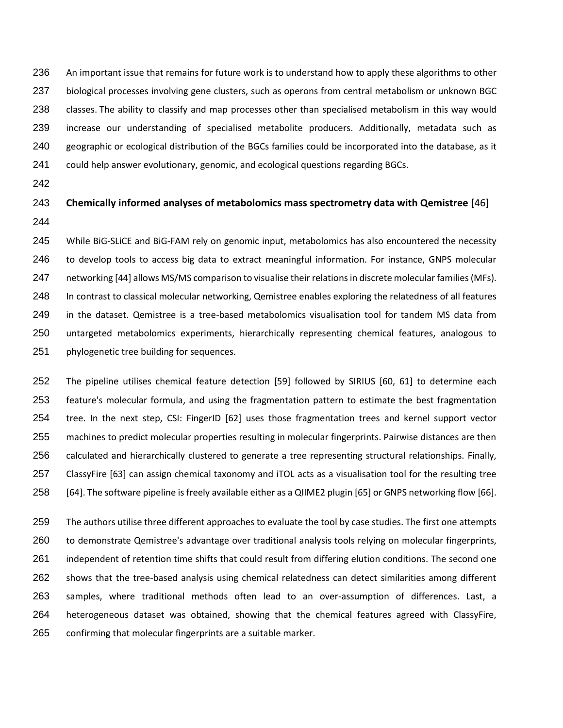An important issue that remains for future work is to understand how to apply these algorithms to other 237 biological processes involving gene clusters, such as operons from central metabolism or unknown BGC classes. The ability to classify and map processes other than specialised metabolism in this way would increase our understanding of specialised metabolite producers. Additionally, metadata such as geographic or ecological distribution of the BGCs families could be incorporated into the database, as it could help answer evolutionary, genomic, and ecological questions regarding BGCs.

# **Chemically informed analyses of metabolomics mass spectrometry data with Qemistree** [46]

 While BiG-SLiCE and BiG-FAM rely on genomic input, metabolomics has also encountered the necessity to develop tools to access big data to extract meaningful information. For instance, GNPS molecular 247 networking [44] allows MS/MS comparison to visualise their relations in discrete molecular families (MFs). In contrast to classical molecular networking, Qemistree enables exploring the relatedness of all features in the dataset. Qemistree is a tree-based metabolomics visualisation tool for tandem MS data from untargeted metabolomics experiments, hierarchically representing chemical features, analogous to phylogenetic tree building for sequences.

 The pipeline utilises chemical feature detection [59] followed by SIRIUS [60, 61] to determine each feature's molecular formula, and using the fragmentation pattern to estimate the best fragmentation tree. In the next step, CSI: FingerID [62] uses those fragmentation trees and kernel support vector machines to predict molecular properties resulting in molecular fingerprints. Pairwise distances are then calculated and hierarchically clustered to generate a tree representing structural relationships. Finally, ClassyFire [63] can assign chemical taxonomy and iTOL acts as a visualisation tool for the resulting tree [64]. The software pipeline is freely available either as a QIIME2 plugin [65] or GNPS networking flow [66].

 The authors utilise three different approaches to evaluate the tool by case studies. The first one attempts to demonstrate Qemistree's advantage over traditional analysis tools relying on molecular fingerprints, independent of retention time shifts that could result from differing elution conditions. The second one shows that the tree-based analysis using chemical relatedness can detect similarities among different samples, where traditional methods often lead to an over-assumption of differences. Last, a heterogeneous dataset was obtained, showing that the chemical features agreed with ClassyFire, confirming that molecular fingerprints are a suitable marker.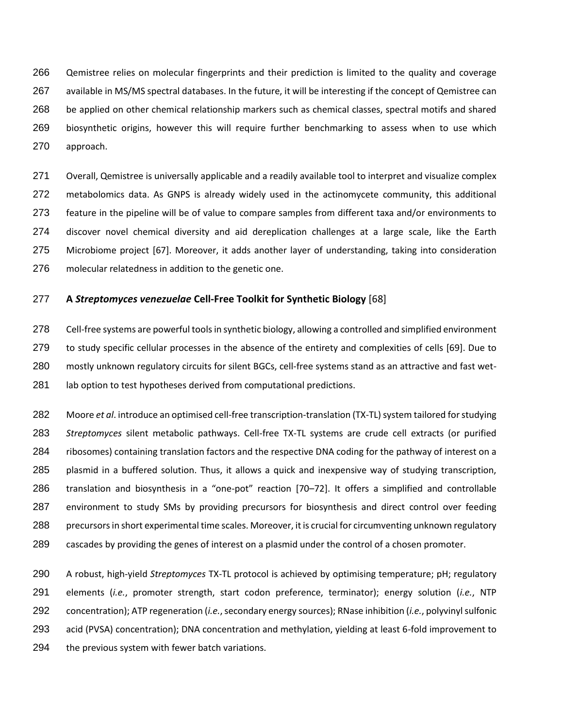Qemistree relies on molecular fingerprints and their prediction is limited to the quality and coverage available in MS/MS spectral databases. In the future, it will be interesting if the concept of Qemistree can be applied on other chemical relationship markers such as chemical classes, spectral motifs and shared biosynthetic origins, however this will require further benchmarking to assess when to use which approach.

 Overall, Qemistree is universally applicable and a readily available tool to interpret and visualize complex metabolomics data. As GNPS is already widely used in the actinomycete community, this additional feature in the pipeline will be of value to compare samples from different taxa and/or environments to discover novel chemical diversity and aid dereplication challenges at a large scale, like the Earth Microbiome project [67]. Moreover, it adds another layer of understanding, taking into consideration molecular relatedness in addition to the genetic one.

### **A** *Streptomyces venezuelae* **Cell-Free Toolkit for Synthetic Biology** [68]

 Cell-free systems are powerful tools in synthetic biology, allowing a controlled and simplified environment to study specific cellular processes in the absence of the entirety and complexities of cells [69]. Due to mostly unknown regulatory circuits for silent BGCs, cell-free systems stand as an attractive and fast wet-281 lab option to test hypotheses derived from computational predictions.

 Moore *et al*. introduce an optimised cell-free transcription-translation (TX-TL) system tailored for studying *Streptomyces* silent metabolic pathways. Cell-free TX-TL systems are crude cell extracts (or purified ribosomes) containing translation factors and the respective DNA coding for the pathway of interest on a plasmid in a buffered solution. Thus, it allows a quick and inexpensive way of studying transcription, translation and biosynthesis in a "one-pot" reaction [70–72]. It offers a simplified and controllable environment to study SMs by providing precursors for biosynthesis and direct control over feeding 288 precursors in short experimental time scales. Moreover, it is crucial for circumventing unknown regulatory cascades by providing the genes of interest on a plasmid under the control of a chosen promoter.

 A robust, high-yield *Streptomyces* TX-TL protocol is achieved by optimising temperature; pH; regulatory elements (*i.e.*, promoter strength, start codon preference, terminator); energy solution (*i.e.*, NTP concentration); ATP regeneration (*i.e.*, secondary energy sources); RNase inhibition (*i.e.*, polyvinyl sulfonic acid (PVSA) concentration); DNA concentration and methylation, yielding at least 6-fold improvement to 294 the previous system with fewer batch variations.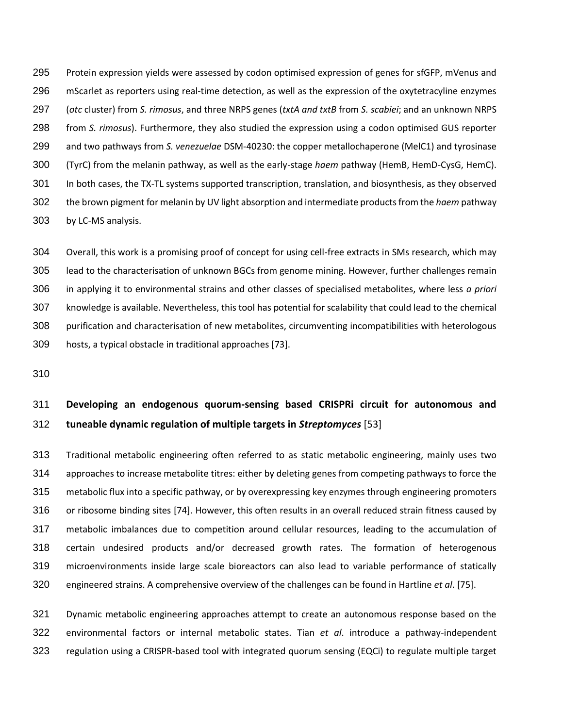Protein expression yields were assessed by codon optimised expression of genes for sfGFP, mVenus and mScarlet as reporters using real-time detection, as well as the expression of the oxytetracyline enzymes (*otc* cluster) from *S. rimosus*, and three NRPS genes (*txtA and txtB* from *S. scabiei*; and an unknown NRPS from *S. rimosus*). Furthermore, they also studied the expression using a codon optimised GUS reporter and two pathways from *S. venezuelae* DSM-40230: the copper metallochaperone (MelC1) and tyrosinase (TyrC) from the melanin pathway, as well as the early-stage *haem* pathway (HemB, HemD-CysG, HemC). In both cases, the TX-TL systems supported transcription, translation, and biosynthesis, as they observed the brown pigment for melanin by UV light absorption and intermediate products from the *haem* pathway by LC-MS analysis.

 Overall, this work is a promising proof of concept for using cell-free extracts in SMs research, which may lead to the characterisation of unknown BGCs from genome mining. However, further challenges remain in applying it to environmental strains and other classes of specialised metabolites, where less *a priori* knowledge is available. Nevertheless, this tool has potential for scalability that could lead to the chemical purification and characterisation of new metabolites, circumventing incompatibilities with heterologous hosts, a typical obstacle in traditional approaches [73].

# **Developing an endogenous quorum-sensing based CRISPRi circuit for autonomous and tuneable dynamic regulation of multiple targets in** *Streptomyces* [53]

 Traditional metabolic engineering often referred to as static metabolic engineering, mainly uses two approaches to increase metabolite titres: either by deleting genes from competing pathways to force the metabolic flux into a specific pathway, or by overexpressing key enzymes through engineering promoters or ribosome binding sites [74]. However, this often results in an overall reduced strain fitness caused by metabolic imbalances due to competition around cellular resources, leading to the accumulation of certain undesired products and/or decreased growth rates. The formation of heterogenous microenvironments inside large scale bioreactors can also lead to variable performance of statically engineered strains. A comprehensive overview of the challenges can be found in Hartline *et al*. [75].

 Dynamic metabolic engineering approaches attempt to create an autonomous response based on the environmental factors or internal metabolic states. Tian *et al*. introduce a pathway-independent regulation using a CRISPR-based tool with integrated quorum sensing (EQCi) to regulate multiple target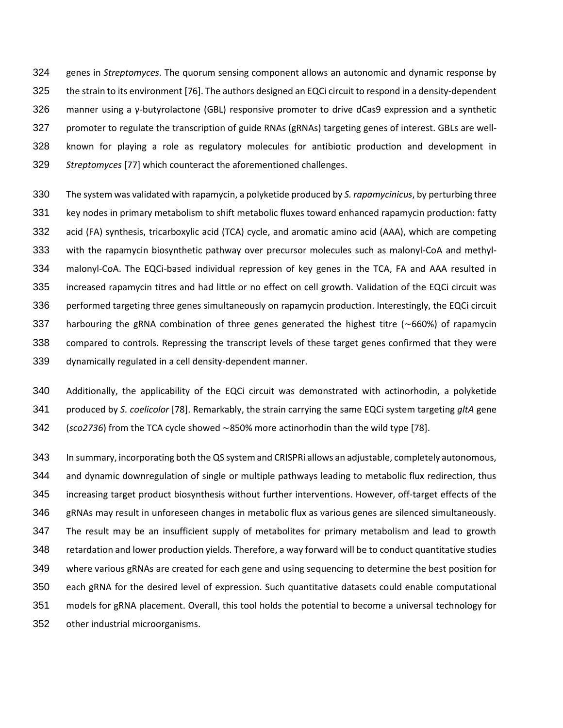genes in *Streptomyces*. The quorum sensing component allows an autonomic and dynamic response by the strain to its environment [76]. The authors designed an EQCi circuit to respond in a density-dependent manner using a γ-butyrolactone (GBL) responsive promoter to drive dCas9 expression and a synthetic promoter to regulate the transcription of guide RNAs (gRNAs) targeting genes of interest. GBLs are well- known for playing a role as regulatory molecules for antibiotic production and development in *Streptomyces* [77] which counteract the aforementioned challenges.

- The system was validated with rapamycin, a polyketide produced by *S. rapamycinicus*, by perturbing three key nodes in primary metabolism to shift metabolic fluxes toward enhanced rapamycin production: fatty acid (FA) synthesis, tricarboxylic acid (TCA) cycle, and aromatic amino acid (AAA), which are competing with the rapamycin biosynthetic pathway over precursor molecules such as malonyl-CoA and methyl- malonyl-CoA. The EQCi-based individual repression of key genes in the TCA, FA and AAA resulted in increased rapamycin titres and had little or no effect on cell growth. Validation of the EQCi circuit was performed targeting three genes simultaneously on rapamycin production. Interestingly, the EQCi circuit harbouring the gRNA combination of three genes generated the highest titre (∼660%) of rapamycin compared to controls. Repressing the transcript levels of these target genes confirmed that they were dynamically regulated in a cell density-dependent manner.
- Additionally, the applicability of the EQCi circuit was demonstrated with actinorhodin, a polyketide produced by *S. coelicolor* [78]. Remarkably, the strain carrying the same EQCi system targeting *gltA* gene (*sco2736*) from the TCA cycle showed ∼850% more actinorhodin than the wild type [78].
- In summary, incorporating both the QS system and CRISPRi allows an adjustable, completely autonomous, and dynamic downregulation of single or multiple pathways leading to metabolic flux redirection, thus increasing target product biosynthesis without further interventions. However, off-target effects of the gRNAs may result in unforeseen changes in metabolic flux as various genes are silenced simultaneously. The result may be an insufficient supply of metabolites for primary metabolism and lead to growth retardation and lower production yields. Therefore, a way forward will be to conduct quantitative studies where various gRNAs are created for each gene and using sequencing to determine the best position for each gRNA for the desired level of expression. Such quantitative datasets could enable computational models for gRNA placement. Overall, this tool holds the potential to become a universal technology for other industrial microorganisms.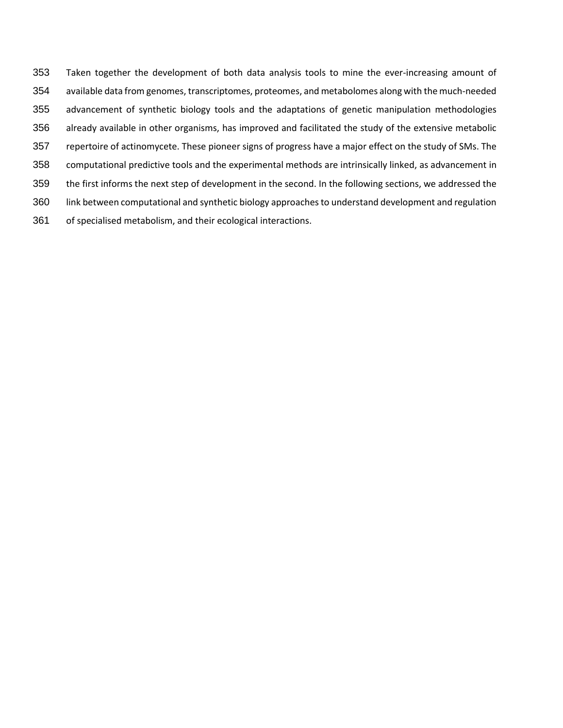Taken together the development of both data analysis tools to mine the ever-increasing amount of available data from genomes, transcriptomes, proteomes, and metabolomes along with the much-needed advancement of synthetic biology tools and the adaptations of genetic manipulation methodologies already available in other organisms, has improved and facilitated the study of the extensive metabolic repertoire of actinomycete. These pioneer signs of progress have a major effect on the study of SMs. The computational predictive tools and the experimental methods are intrinsically linked, as advancement in the first informs the next step of development in the second. In the following sections, we addressed the link between computational and synthetic biology approaches to understand development and regulation of specialised metabolism, and their ecological interactions.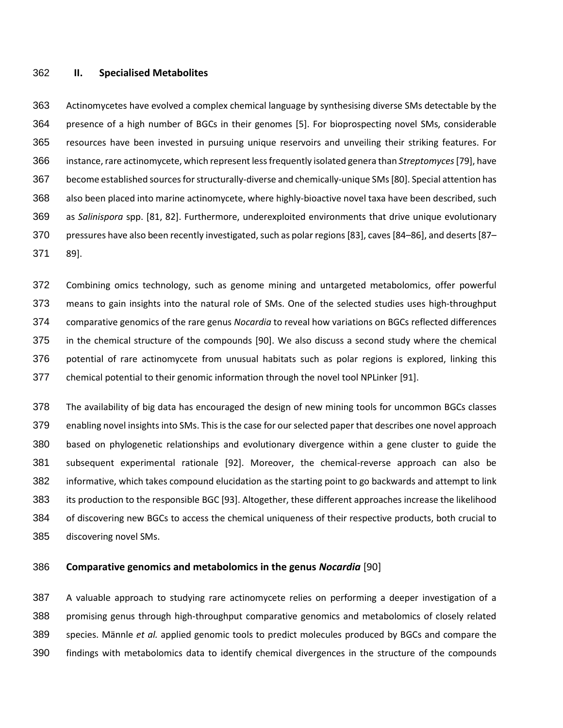#### **II. Specialised Metabolites**

 Actinomycetes have evolved a complex chemical language by synthesising diverse SMs detectable by the presence of a high number of BGCs in their genomes [5]. For bioprospecting novel SMs, considerable resources have been invested in pursuing unique reservoirs and unveiling their striking features. For instance, rare actinomycete, which represent less frequently isolated genera than *Streptomyces*[79], have become established sources for structurally-diverse and chemically-unique SMs[80]. Special attention has also been placed into marine actinomycete, where highly-bioactive novel taxa have been described, such as *Salinispora* spp. [81, 82]. Furthermore, underexploited environments that drive unique evolutionary pressures have also been recently investigated, such as polar regions [83], caves [84–86], and deserts [87– 89].

 Combining omics technology, such as genome mining and untargeted metabolomics, offer powerful means to gain insights into the natural role of SMs. One of the selected studies uses high-throughput comparative genomics of the rare genus *Nocardia* to reveal how variations on BGCs reflected differences in the chemical structure of the compounds [90]. We also discuss a second study where the chemical potential of rare actinomycete from unusual habitats such as polar regions is explored, linking this chemical potential to their genomic information through the novel tool NPLinker [91].

 The availability of big data has encouraged the design of new mining tools for uncommon BGCs classes enabling novel insights into SMs. This is the case for our selected paper that describes one novel approach based on phylogenetic relationships and evolutionary divergence within a gene cluster to guide the subsequent experimental rationale [92]. Moreover, the chemical-reverse approach can also be informative, which takes compound elucidation as the starting point to go backwards and attempt to link its production to the responsible BGC [93]. Altogether, these different approaches increase the likelihood of discovering new BGCs to access the chemical uniqueness of their respective products, both crucial to discovering novel SMs.

### **Comparative genomics and metabolomics in the genus** *Nocardia* [90]

 A valuable approach to studying rare actinomycete relies on performing a deeper investigation of a promising genus through high-throughput comparative genomics and metabolomics of closely related species. Männle *et al.* applied genomic tools to predict molecules produced by BGCs and compare the findings with metabolomics data to identify chemical divergences in the structure of the compounds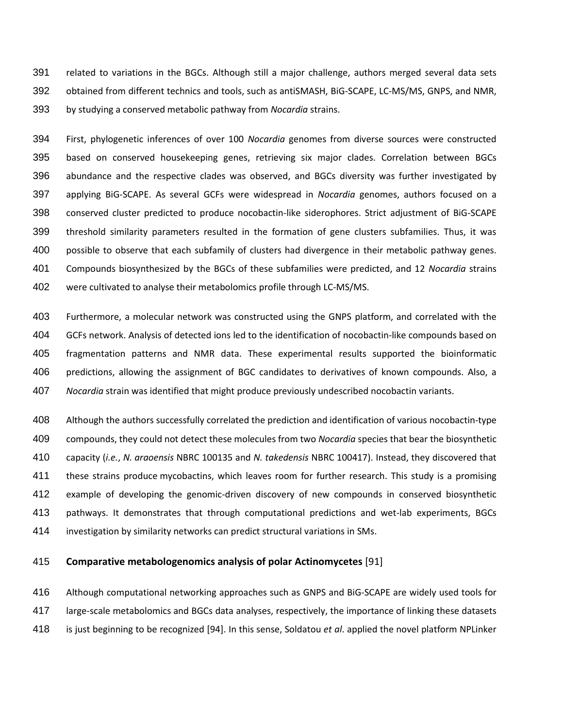related to variations in the BGCs. Although still a major challenge, authors merged several data sets obtained from different technics and tools, such as antiSMASH, BiG-SCAPE, LC-MS/MS, GNPS, and NMR, by studying a conserved metabolic pathway from *Nocardia* strains.

 First, phylogenetic inferences of over 100 *Nocardia* genomes from diverse sources were constructed based on conserved housekeeping genes, retrieving six major clades. Correlation between BGCs abundance and the respective clades was observed, and BGCs diversity was further investigated by applying BiG-SCAPE. As several GCFs were widespread in *Nocardia* genomes, authors focused on a conserved cluster predicted to produce nocobactin-like siderophores. Strict adjustment of BiG-SCAPE threshold similarity parameters resulted in the formation of gene clusters subfamilies. Thus, it was possible to observe that each subfamily of clusters had divergence in their metabolic pathway genes. Compounds biosynthesized by the BGCs of these subfamilies were predicted, and 12 *Nocardia* strains were cultivated to analyse their metabolomics profile through LC-MS/MS.

 Furthermore, a molecular network was constructed using the GNPS platform, and correlated with the GCFs network. Analysis of detected ions led to the identification of nocobactin-like compounds based on fragmentation patterns and NMR data. These experimental results supported the bioinformatic predictions, allowing the assignment of BGC candidates to derivatives of known compounds. Also, a *Nocardia* strain was identified that might produce previously undescribed nocobactin variants.

 Although the authors successfully correlated the prediction and identification of various nocobactin-type compounds, they could not detect these molecules from two *Nocardia* species that bear the biosynthetic capacity (*i.e.*, *N. araoensis* NBRC 100135 and *N. takedensis* NBRC 100417). Instead, they discovered that these strains produce mycobactins, which leaves room for further research. This study is a promising example of developing the genomic-driven discovery of new compounds in conserved biosynthetic pathways. It demonstrates that through computational predictions and wet-lab experiments, BGCs investigation by similarity networks can predict structural variations in SMs.

# **Comparative metabologenomics analysis of polar Actinomycetes** [91]

 Although computational networking approaches such as GNPS and BiG-SCAPE are widely used tools for large-scale metabolomics and BGCs data analyses, respectively, the importance of linking these datasets is just beginning to be recognized [94]. In this sense, Soldatou *et al*. applied the novel platform NPLinker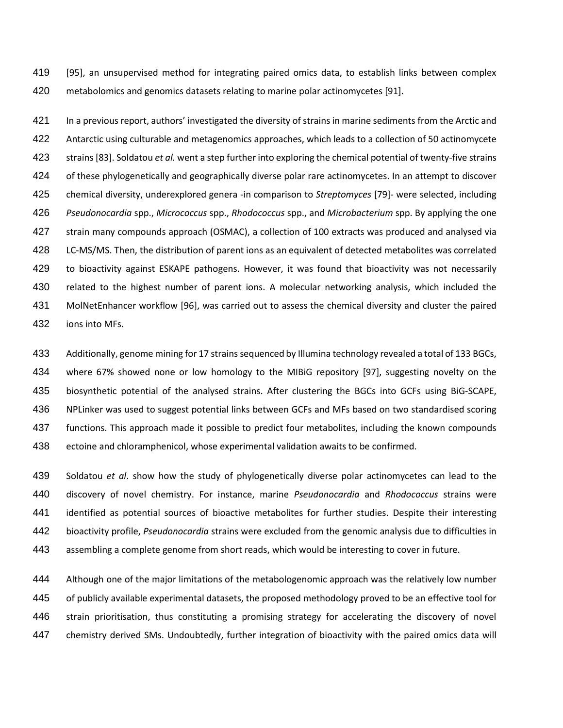[95], an unsupervised method for integrating paired omics data, to establish links between complex metabolomics and genomics datasets relating to marine polar actinomycetes [91].

 In a previous report, authors' investigated the diversity of strains in marine sediments from the Arctic and Antarctic using culturable and metagenomics approaches, which leads to a collection of 50 actinomycete strains [83]. Soldatou *et al.* went a step further into exploring the chemical potential of twenty-five strains of these phylogenetically and geographically diverse polar rare actinomycetes. In an attempt to discover chemical diversity, underexplored genera -in comparison to *Streptomyces* [79]- were selected, including *Pseudonocardia* spp., *Micrococcus* spp., *Rhodococcus* spp., and *Microbacterium* spp. By applying the one strain many compounds approach (OSMAC), a collection of 100 extracts was produced and analysed via LC-MS/MS. Then, the distribution of parent ions as an equivalent of detected metabolites was correlated to bioactivity against ESKAPE pathogens. However, it was found that bioactivity was not necessarily related to the highest number of parent ions. A molecular networking analysis, which included the MolNetEnhancer workflow [96], was carried out to assess the chemical diversity and cluster the paired ions into MFs.

 Additionally, genome mining for 17 strains sequenced by Illumina technology revealed a total of 133 BGCs, where 67% showed none or low homology to the MIBiG repository [97], suggesting novelty on the biosynthetic potential of the analysed strains. After clustering the BGCs into GCFs using BiG-SCAPE, NPLinker was used to suggest potential links between GCFs and MFs based on two standardised scoring functions. This approach made it possible to predict four metabolites, including the known compounds ectoine and chloramphenicol, whose experimental validation awaits to be confirmed.

 Soldatou *et al*. show how the study of phylogenetically diverse polar actinomycetes can lead to the discovery of novel chemistry. For instance, marine *Pseudonocardia* and *Rhodococcus* strains were identified as potential sources of bioactive metabolites for further studies. Despite their interesting bioactivity profile, *Pseudonocardia* strains were excluded from the genomic analysis due to difficulties in assembling a complete genome from short reads, which would be interesting to cover in future.

 Although one of the major limitations of the metabologenomic approach was the relatively low number of publicly available experimental datasets, the proposed methodology proved to be an effective tool for strain prioritisation, thus constituting a promising strategy for accelerating the discovery of novel chemistry derived SMs. Undoubtedly, further integration of bioactivity with the paired omics data will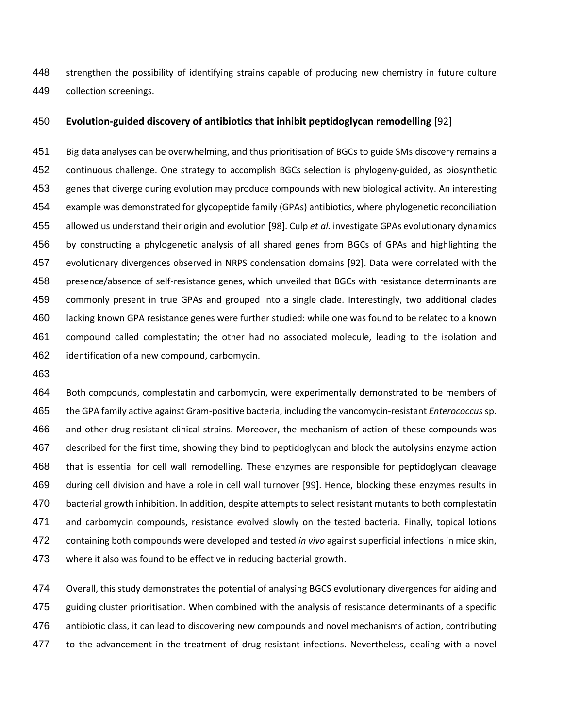strengthen the possibility of identifying strains capable of producing new chemistry in future culture collection screenings.

### **Evolution-guided discovery of antibiotics that inhibit peptidoglycan remodelling** [92]

 Big data analyses can be overwhelming, and thus prioritisation of BGCs to guide SMs discovery remains a continuous challenge. One strategy to accomplish BGCs selection is phylogeny-guided, as biosynthetic genes that diverge during evolution may produce compounds with new biological activity. An interesting example was demonstrated for glycopeptide family (GPAs) antibiotics, where phylogenetic reconciliation allowed us understand their origin and evolution [98]. Culp *et al.* investigate GPAs evolutionary dynamics by constructing a phylogenetic analysis of all shared genes from BGCs of GPAs and highlighting the evolutionary divergences observed in NRPS condensation domains [92]. Data were correlated with the presence/absence of self-resistance genes, which unveiled that BGCs with resistance determinants are commonly present in true GPAs and grouped into a single clade. Interestingly, two additional clades lacking known GPA resistance genes were further studied: while one was found to be related to a known compound called complestatin; the other had no associated molecule, leading to the isolation and identification of a new compound, carbomycin.

 Both compounds, complestatin and carbomycin, were experimentally demonstrated to be members of the GPA family active against Gram-positive bacteria, including the vancomycin-resistant *Enterococcus* sp. and other drug-resistant clinical strains. Moreover, the mechanism of action of these compounds was described for the first time, showing they bind to peptidoglycan and block the autolysins enzyme action that is essential for cell wall remodelling. These enzymes are responsible for peptidoglycan cleavage during cell division and have a role in cell wall turnover [99]. Hence, blocking these enzymes results in bacterial growth inhibition. In addition, despite attempts to select resistant mutants to both complestatin and carbomycin compounds, resistance evolved slowly on the tested bacteria. Finally, topical lotions containing both compounds were developed and tested *in vivo* against superficial infections in mice skin, where it also was found to be effective in reducing bacterial growth.

 Overall, this study demonstrates the potential of analysing BGCS evolutionary divergences for aiding and guiding cluster prioritisation. When combined with the analysis of resistance determinants of a specific antibiotic class, it can lead to discovering new compounds and novel mechanisms of action, contributing 477 to the advancement in the treatment of drug-resistant infections. Nevertheless, dealing with a novel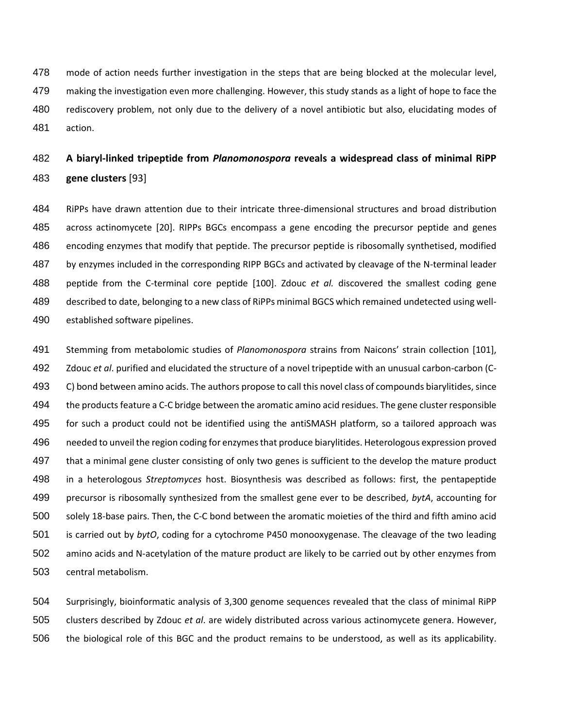mode of action needs further investigation in the steps that are being blocked at the molecular level, making the investigation even more challenging. However, this study stands as a light of hope to face the rediscovery problem, not only due to the delivery of a novel antibiotic but also, elucidating modes of action.

# **A biaryl-linked tripeptide from** *Planomonospora* **reveals a widespread class of minimal RiPP gene clusters** [93]

 RiPPs have drawn attention due to their intricate three-dimensional structures and broad distribution across actinomycete [20]. RIPPs BGCs encompass a gene encoding the precursor peptide and genes encoding enzymes that modify that peptide. The precursor peptide is ribosomally synthetised, modified by enzymes included in the corresponding RIPP BGCs and activated by cleavage of the N-terminal leader peptide from the C-terminal core peptide [100]. Zdouc *et al.* discovered the smallest coding gene described to date, belonging to a new class of RiPPs minimal BGCS which remained undetected using well-established software pipelines.

 Stemming from metabolomic studies of *Planomonospora* strains from Naicons' strain collection [101], Zdouc *et al*. purified and elucidated the structure of a novel tripeptide with an unusual carbon-carbon (C- C) bond between amino acids. The authors propose to call this novel class of compounds biarylitides, since the products feature a C-C bridge between the aromatic amino acid residues. The gene cluster responsible for such a product could not be identified using the antiSMASH platform, so a tailored approach was needed to unveil the region coding for enzymes that produce biarylitides. Heterologous expression proved that a minimal gene cluster consisting of only two genes is sufficient to the develop the mature product in a heterologous *Streptomyces* host. Biosynthesis was described as follows: first, the pentapeptide precursor is ribosomally synthesized from the smallest gene ever to be described, *bytA*, accounting for solely 18-base pairs. Then, the C-C bond between the aromatic moieties of the third and fifth amino acid is carried out by *bytO*, coding for a cytochrome P450 monooxygenase. The cleavage of the two leading amino acids and N-acetylation of the mature product are likely to be carried out by other enzymes from central metabolism.

 Surprisingly, bioinformatic analysis of 3,300 genome sequences revealed that the class of minimal RiPP clusters described by Zdouc *et al*. are widely distributed across various actinomycete genera. However, the biological role of this BGC and the product remains to be understood, as well as its applicability.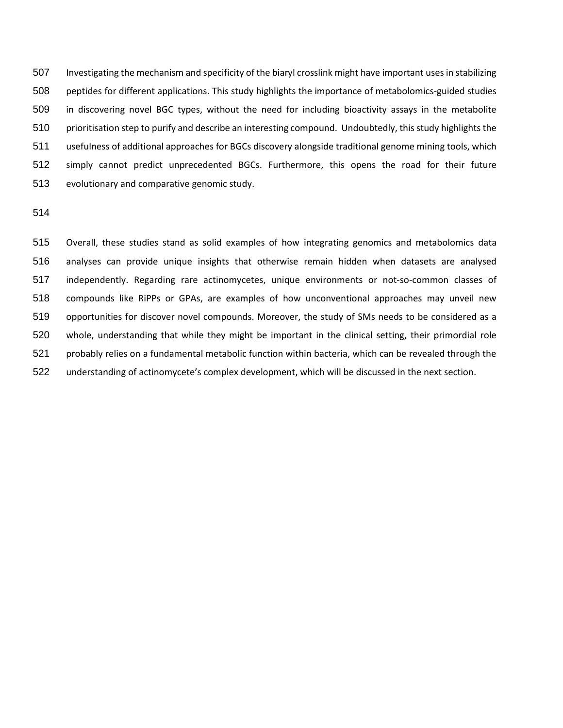Investigating the mechanism and specificity of the biaryl crosslink might have important uses in stabilizing peptides for different applications. This study highlights the importance of metabolomics-guided studies in discovering novel BGC types, without the need for including bioactivity assays in the metabolite prioritisation step to purify and describe an interesting compound. Undoubtedly, this study highlights the usefulness of additional approaches for BGCs discovery alongside traditional genome mining tools, which simply cannot predict unprecedented BGCs. Furthermore, this opens the road for their future evolutionary and comparative genomic study.

 Overall, these studies stand as solid examples of how integrating genomics and metabolomics data analyses can provide unique insights that otherwise remain hidden when datasets are analysed independently. Regarding rare actinomycetes, unique environments or not-so-common classes of compounds like RiPPs or GPAs, are examples of how unconventional approaches may unveil new opportunities for discover novel compounds. Moreover, the study of SMs needs to be considered as a whole, understanding that while they might be important in the clinical setting, their primordial role probably relies on a fundamental metabolic function within bacteria, which can be revealed through the understanding of actinomycete's complex development, which will be discussed in the next section.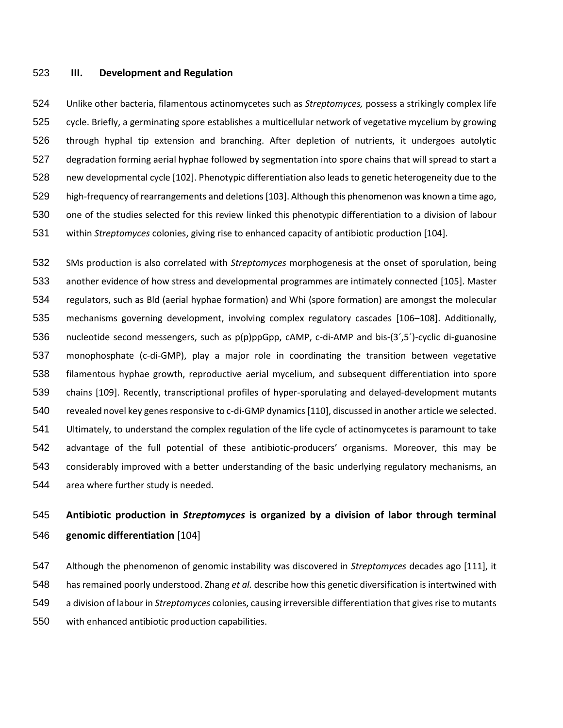#### **III. Development and Regulation**

 Unlike other bacteria, filamentous actinomycetes such as *Streptomyces,* possess a strikingly complex life cycle. Briefly, a germinating spore establishes a multicellular network of vegetative mycelium by growing through hyphal tip extension and branching. After depletion of nutrients, it undergoes autolytic degradation forming aerial hyphae followed by segmentation into spore chains that will spread to start a new developmental cycle [102]. Phenotypic differentiation also leads to genetic heterogeneity due to the high-frequency of rearrangements and deletions [103]. Although this phenomenon was known a time ago, one of the studies selected for this review linked this phenotypic differentiation to a division of labour within *Streptomyces* colonies, giving rise to enhanced capacity of antibiotic production [104].

 SMs production is also correlated with *Streptomyces* morphogenesis at the onset of sporulation, being another evidence of how stress and developmental programmes are intimately connected [105]. Master regulators, such as Bld (aerial hyphae formation) and Whi (spore formation) are amongst the molecular mechanisms governing development, involving complex regulatory cascades [106–108]. Additionally, nucleotide second messengers, such as p(p)ppGpp, cAMP, c-di-AMP and bis-(3´,5´)-cyclic di-guanosine monophosphate (c-di-GMP), play a major role in coordinating the transition between vegetative filamentous hyphae growth, reproductive aerial mycelium, and subsequent differentiation into spore chains [109]. Recently, transcriptional profiles of hyper-sporulating and delayed-development mutants revealed novel key genes responsive to c-di-GMP dynamics [110], discussed in another article we selected. Ultimately, to understand the complex regulation of the life cycle of actinomycetes is paramount to take advantage of the full potential of these antibiotic-producers' organisms. Moreover, this may be considerably improved with a better understanding of the basic underlying regulatory mechanisms, an area where further study is needed.

# **Antibiotic production in** *Streptomyces* **is organized by a division of labor through terminal genomic differentiation** [104]

 Although the phenomenon of genomic instability was discovered in *Streptomyces* decades ago [111], it has remained poorly understood. Zhang *et al.* describe how this genetic diversification is intertwined with a division of labour in *Streptomyces* colonies, causing irreversible differentiation that gives rise to mutants with enhanced antibiotic production capabilities.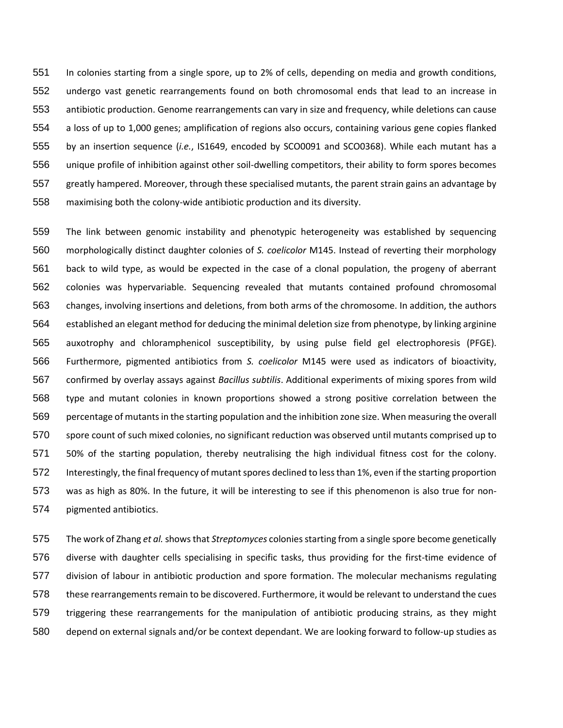In colonies starting from a single spore, up to 2% of cells, depending on media and growth conditions, undergo vast genetic rearrangements found on both chromosomal ends that lead to an increase in antibiotic production. Genome rearrangements can vary in size and frequency, while deletions can cause a loss of up to 1,000 genes; amplification of regions also occurs, containing various gene copies flanked by an insertion sequence (*i.e.*, IS1649, encoded by SCO0091 and SCO0368). While each mutant has a unique profile of inhibition against other soil-dwelling competitors, their ability to form spores becomes greatly hampered. Moreover, through these specialised mutants, the parent strain gains an advantage by maximising both the colony-wide antibiotic production and its diversity.

 The link between genomic instability and phenotypic heterogeneity was established by sequencing morphologically distinct daughter colonies of *S. coelicolor* M145. Instead of reverting their morphology back to wild type, as would be expected in the case of a clonal population, the progeny of aberrant colonies was hypervariable. Sequencing revealed that mutants contained profound chromosomal changes, involving insertions and deletions, from both arms of the chromosome. In addition, the authors established an elegant method for deducing the minimal deletion size from phenotype, by linking arginine auxotrophy and chloramphenicol susceptibility, by using pulse field gel electrophoresis (PFGE). Furthermore, pigmented antibiotics from *S. coelicolor* M145 were used as indicators of bioactivity, confirmed by overlay assays against *Bacillus subtilis*. Additional experiments of mixing spores from wild type and mutant colonies in known proportions showed a strong positive correlation between the percentage of mutants in the starting population and the inhibition zone size. When measuring the overall spore count of such mixed colonies, no significant reduction was observed until mutants comprised up to 50% of the starting population, thereby neutralising the high individual fitness cost for the colony. Interestingly, the final frequency of mutant spores declined to less than 1%, even if the starting proportion was as high as 80%. In the future, it will be interesting to see if this phenomenon is also true for non-pigmented antibiotics.

 The work of Zhang *et al.*showsthat *Streptomyces* colonies starting from a single spore become genetically diverse with daughter cells specialising in specific tasks, thus providing for the first-time evidence of division of labour in antibiotic production and spore formation. The molecular mechanisms regulating 578 these rearrangements remain to be discovered. Furthermore, it would be relevant to understand the cues triggering these rearrangements for the manipulation of antibiotic producing strains, as they might depend on external signals and/or be context dependant. We are looking forward to follow-up studies as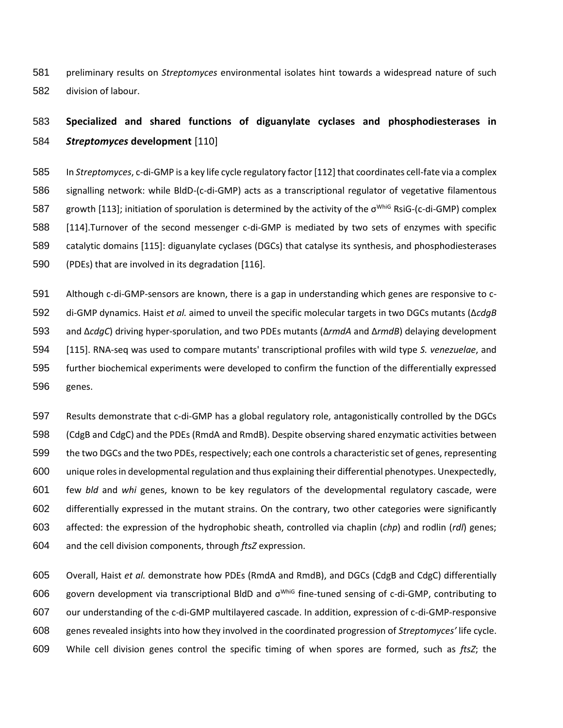preliminary results on *Streptomyces* environmental isolates hint towards a widespread nature of such division of labour.

# **Specialized and shared functions of diguanylate cyclases and phosphodiesterases in**  *Streptomyces* **development** [110]

 In *Streptomyces*, c-di-GMP is a key life cycle regulatory factor [112] that coordinates cell-fate via a complex signalling network: while BldD-(c-di-GMP) acts as a transcriptional regulator of vegetative filamentous 587 growth [113]; initiation of sporulation is determined by the activity of the σ<sup>WhiG</sup> RsiG-(c-di-GMP) complex [114].Turnover of the second messenger c-di-GMP is mediated by two sets of enzymes with specific catalytic domains [115]: diguanylate cyclases (DGCs) that catalyse its synthesis, and phosphodiesterases (PDEs) that are involved in its degradation [116].

 Although c-di-GMP-sensors are known, there is a gap in understanding which genes are responsive to c- di-GMP dynamics. Haist *et al.* aimed to unveil the specific molecular targets in two DGCs mutants (Δ*cdgB* and Δ*cdgC*) driving hyper-sporulation, and two PDEs mutants (Δ*rmdA* and Δ*rmdB*) delaying development [115]. RNA-seq was used to compare mutants' transcriptional profiles with wild type *S. venezuelae*, and further biochemical experiments were developed to confirm the function of the differentially expressed genes.

 Results demonstrate that c-di-GMP has a global regulatory role, antagonistically controlled by the DGCs (CdgB and CdgC) and the PDEs (RmdA and RmdB). Despite observing shared enzymatic activities between the two DGCs and the two PDEs, respectively; each one controls a characteristic set of genes, representing unique roles in developmental regulation and thus explaining their differential phenotypes. Unexpectedly, few *bld* and *whi* genes, known to be key regulators of the developmental regulatory cascade, were differentially expressed in the mutant strains. On the contrary, two other categories were significantly affected: the expression of the hydrophobic sheath, controlled via chaplin (*chp*) and rodlin (*rdl*) genes; and the cell division components, through *ftsZ* expression.

 Overall, Haist *et al.* demonstrate how PDEs (RmdA and RmdB), and DGCs (CdgB and CdgC) differentially 606 govern development via transcriptional BldD and σ<sup>WhiG</sup> fine-tuned sensing of c-di-GMP, contributing to our understanding of the c-di-GMP multilayered cascade. In addition, expression of c-di-GMP-responsive genes revealed insights into how they involved in the coordinated progression of *Streptomyces'* life cycle. While cell division genes control the specific timing of when spores are formed, such as *ftsZ*; the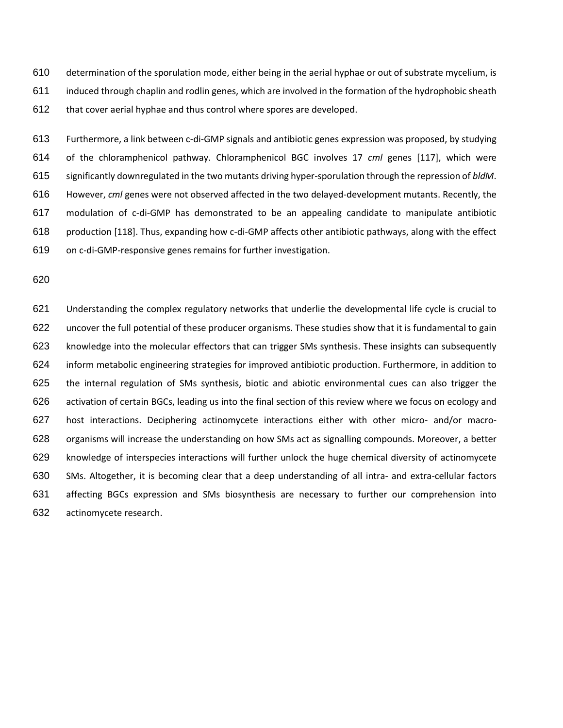determination of the sporulation mode, either being in the aerial hyphae or out of substrate mycelium, is induced through chaplin and rodlin genes, which are involved in the formation of the hydrophobic sheath that cover aerial hyphae and thus control where spores are developed.

 Furthermore, a link between c-di-GMP signals and antibiotic genes expression was proposed, by studying of the chloramphenicol pathway. Chloramphenicol BGC involves 17 *cml* genes [117], which were significantly downregulated in the two mutants driving hyper-sporulation through the repression of *bldM*. However, *cml* genes were not observed affected in the two delayed-development mutants. Recently, the modulation of c-di-GMP has demonstrated to be an appealing candidate to manipulate antibiotic production [118]. Thus, expanding how c-di-GMP affects other antibiotic pathways, along with the effect on c-di-GMP-responsive genes remains for further investigation.

 Understanding the complex regulatory networks that underlie the developmental life cycle is crucial to uncover the full potential of these producer organisms. These studies show that it is fundamental to gain knowledge into the molecular effectors that can trigger SMs synthesis. These insights can subsequently inform metabolic engineering strategies for improved antibiotic production. Furthermore, in addition to the internal regulation of SMs synthesis, biotic and abiotic environmental cues can also trigger the activation of certain BGCs, leading us into the final section of this review where we focus on ecology and host interactions. Deciphering actinomycete interactions either with other micro- and/or macro- organisms will increase the understanding on how SMs act as signalling compounds. Moreover, a better knowledge of interspecies interactions will further unlock the huge chemical diversity of actinomycete SMs. Altogether, it is becoming clear that a deep understanding of all intra- and extra-cellular factors affecting BGCs expression and SMs biosynthesis are necessary to further our comprehension into actinomycete research.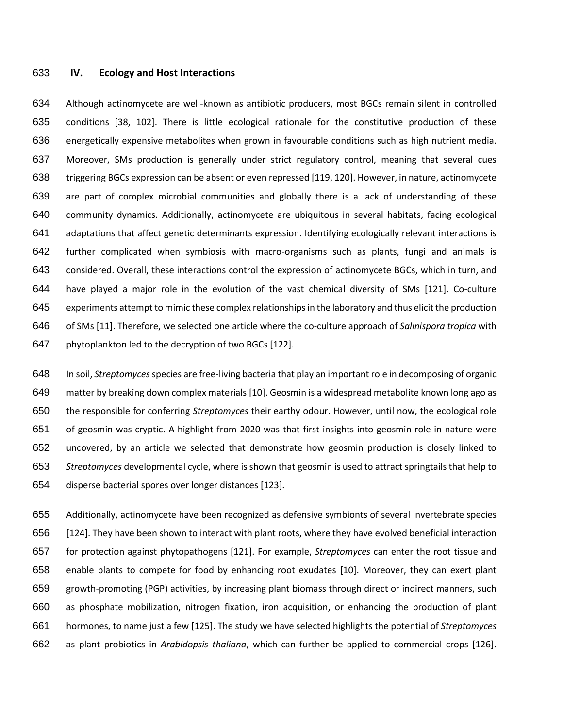#### **IV. Ecology and Host Interactions**

 Although actinomycete are well-known as antibiotic producers, most BGCs remain silent in controlled conditions [38, 102]. There is little ecological rationale for the constitutive production of these energetically expensive metabolites when grown in favourable conditions such as high nutrient media. Moreover, SMs production is generally under strict regulatory control, meaning that several cues triggering BGCs expression can be absent or even repressed [119, 120]. However, in nature, actinomycete are part of complex microbial communities and globally there is a lack of understanding of these community dynamics. Additionally, actinomycete are ubiquitous in several habitats, facing ecological adaptations that affect genetic determinants expression. Identifying ecologically relevant interactions is further complicated when symbiosis with macro-organisms such as plants, fungi and animals is considered. Overall, these interactions control the expression of actinomycete BGCs, which in turn, and have played a major role in the evolution of the vast chemical diversity of SMs [121]. Co-culture experiments attempt to mimic these complex relationships in the laboratory and thus elicit the production of SMs [11]. Therefore, we selected one article where the co-culture approach of *Salinispora tropica* with phytoplankton led to the decryption of two BGCs [122].

 In soil, *Streptomyces*species are free-living bacteria that play an important role in decomposing of organic matter by breaking down complex materials [10]. Geosmin is a widespread metabolite known long ago as the responsible for conferring *Streptomyces* their earthy odour. However, until now, the ecological role of geosmin was cryptic. A highlight from 2020 was that first insights into geosmin role in nature were uncovered, by an article we selected that demonstrate how geosmin production is closely linked to *Streptomyces* developmental cycle, where is shown that geosmin is used to attract springtails that help to disperse bacterial spores over longer distances [123].

 Additionally, actinomycete have been recognized as defensive symbionts of several invertebrate species [124]. They have been shown to interact with plant roots, where they have evolved beneficial interaction for protection against phytopathogens [121]. For example, *Streptomyces* can enter the root tissue and enable plants to compete for food by enhancing root exudates [10]. Moreover, they can exert plant growth-promoting (PGP) activities, by increasing plant biomass through direct or indirect manners, such as phosphate mobilization, nitrogen fixation, iron acquisition, or enhancing the production of plant hormones, to name just a few [125]. The study we have selected highlights the potential of *Streptomyces* as plant probiotics in *Arabidopsis thaliana*, which can further be applied to commercial crops [126].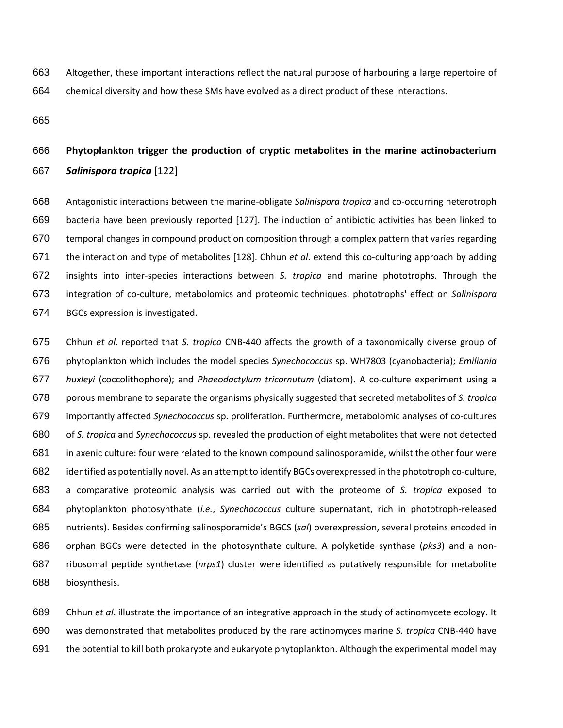Altogether, these important interactions reflect the natural purpose of harbouring a large repertoire of chemical diversity and how these SMs have evolved as a direct product of these interactions.

# **Phytoplankton trigger the production of cryptic metabolites in the marine actinobacterium**  *Salinispora tropica* [122]

 Antagonistic interactions between the marine-obligate *Salinispora tropica* and co-occurring heterotroph bacteria have been previously reported [127]. The induction of antibiotic activities has been linked to temporal changes in compound production composition through a complex pattern that varies regarding the interaction and type of metabolites [128]. Chhun *et al*. extend this co-culturing approach by adding insights into inter-species interactions between *S. tropica* and marine phototrophs. Through the integration of co-culture, metabolomics and proteomic techniques, phototrophs' effect on *Salinispora* BGCs expression is investigated.

 Chhun *et al*. reported that *S. tropica* CNB-440 affects the growth of a taxonomically diverse group of phytoplankton which includes the model species *Synechococcus* sp. WH7803 (cyanobacteria); *Emiliania huxleyi* (coccolithophore); and *Phaeodactylum tricornutum* (diatom). A co-culture experiment using a porous membrane to separate the organisms physically suggested that secreted metabolites of *S. tropica* importantly affected *Synechococcus* sp. proliferation. Furthermore, metabolomic analyses of co-cultures of *S. tropica* and *Synechococcus* sp. revealed the production of eight metabolites that were not detected in axenic culture: four were related to the known compound salinosporamide, whilst the other four were identified as potentially novel. As an attempt to identify BGCs overexpressed in the phototroph co-culture, a comparative proteomic analysis was carried out with the proteome of *S. tropica* exposed to phytoplankton photosynthate (*i.e.*, *Synechococcus* culture supernatant, rich in phototroph-released nutrients). Besides confirming salinosporamide's BGCS (*sal*) overexpression, several proteins encoded in orphan BGCs were detected in the photosynthate culture. A polyketide synthase (*pks3*) and a non- ribosomal peptide synthetase (*nrps1*) cluster were identified as putatively responsible for metabolite biosynthesis.

 Chhun *et al*. illustrate the importance of an integrative approach in the study of actinomycete ecology. It was demonstrated that metabolites produced by the rare actinomyces marine *S. tropica* CNB-440 have the potential to kill both prokaryote and eukaryote phytoplankton. Although the experimental model may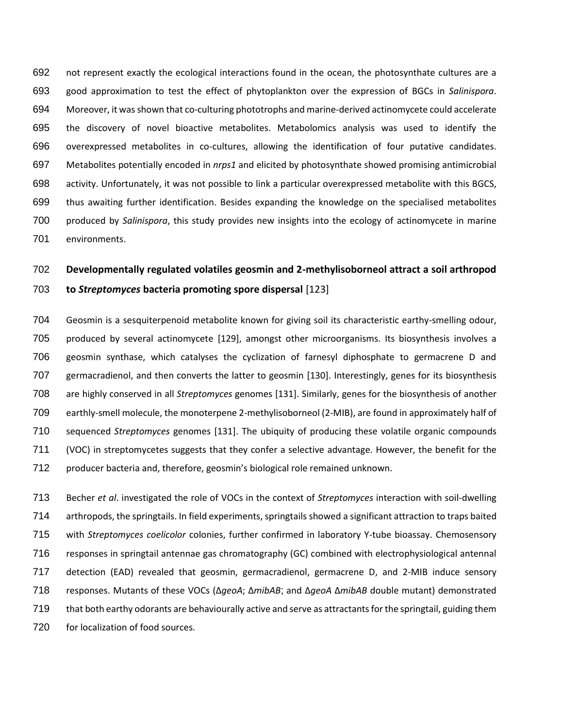not represent exactly the ecological interactions found in the ocean, the photosynthate cultures are a good approximation to test the effect of phytoplankton over the expression of BGCs in *Salinispora*. Moreover, it was shown that co-culturing phototrophs and marine-derived actinomycete could accelerate the discovery of novel bioactive metabolites. Metabolomics analysis was used to identify the overexpressed metabolites in co-cultures, allowing the identification of four putative candidates. Metabolites potentially encoded in *nrps1* and elicited by photosynthate showed promising antimicrobial activity. Unfortunately, it was not possible to link a particular overexpressed metabolite with this BGCS, thus awaiting further identification. Besides expanding the knowledge on the specialised metabolites produced by *Salinispora*, this study provides new insights into the ecology of actinomycete in marine environments.

# **Developmentally regulated volatiles geosmin and 2-methylisoborneol attract a soil arthropod to** *Streptomyces* **bacteria promoting spore dispersal** [123]

 Geosmin is a sesquiterpenoid metabolite known for giving soil its characteristic earthy-smelling odour, produced by several actinomycete [129], amongst other microorganisms. Its biosynthesis involves a geosmin synthase, which catalyses the cyclization of farnesyl diphosphate to germacrene D and germacradienol, and then converts the latter to geosmin [130]. Interestingly, genes for its biosynthesis are highly conserved in all *Streptomyces* genomes [131]. Similarly, genes for the biosynthesis of another earthly-smell molecule, the monoterpene 2-methylisoborneol (2-MIB), are found in approximately half of sequenced *Streptomyces* genomes [131]. The ubiquity of producing these volatile organic compounds (VOC) in streptomycetes suggests that they confer a selective advantage. However, the benefit for the producer bacteria and, therefore, geosmin's biological role remained unknown.

 Becher *et al*. investigated the role of VOCs in the context of *Streptomyces* interaction with soil-dwelling arthropods, the springtails. In field experiments, springtails showed a significant attraction to traps baited with *Streptomyces coelicolor* colonies, further confirmed in laboratory Y-tube bioassay. Chemosensory responses in springtail antennae gas chromatography (GC) combined with electrophysiological antennal detection (EAD) revealed that geosmin, germacradienol, germacrene D, and 2-MIB induce sensory responses. Mutants of these VOCs (Δ*geoA*; Δ*mibAB*; and Δ*geoA* Δ*mibAB* double mutant) demonstrated 719 that both earthy odorants are behaviourally active and serve as attractants for the springtail, guiding them for localization of food sources.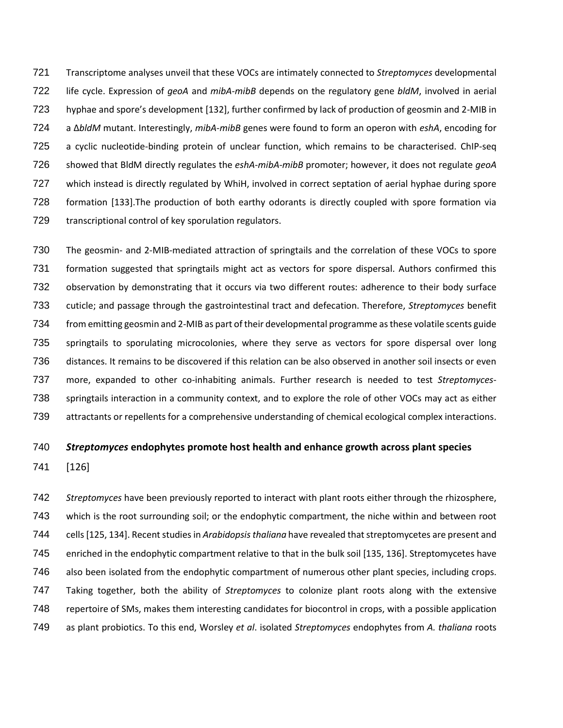Transcriptome analyses unveil that these VOCs are intimately connected to *Streptomyces* developmental life cycle. Expression of *geoA* and *mibA*-*mibB* depends on the regulatory gene *bldM*, involved in aerial hyphae and spore's development [132], further confirmed by lack of production of geosmin and 2-MIB in a Δ*bldM* mutant. Interestingly, *mibA*-*mibB* genes were found to form an operon with *eshA*, encoding for a cyclic nucleotide-binding protein of unclear function, which remains to be characterised. ChIP-seq showed that BldM directly regulates the *eshA*-*mibA*-*mibB* promoter; however, it does not regulate *geoA* which instead is directly regulated by WhiH, involved in correct septation of aerial hyphae during spore formation [133].The production of both earthy odorants is directly coupled with spore formation via transcriptional control of key sporulation regulators.

 The geosmin- and 2-MIB-mediated attraction of springtails and the correlation of these VOCs to spore formation suggested that springtails might act as vectors for spore dispersal. Authors confirmed this observation by demonstrating that it occurs via two different routes: adherence to their body surface cuticle; and passage through the gastrointestinal tract and defecation. Therefore, *Streptomyces* benefit from emitting geosmin and 2-MIB as part of their developmental programme asthese volatile scents guide springtails to sporulating microcolonies, where they serve as vectors for spore dispersal over long distances. It remains to be discovered if this relation can be also observed in another soil insects or even more, expanded to other co-inhabiting animals. Further research is needed to test *Streptomyces*- springtails interaction in a community context, and to explore the role of other VOCs may act as either attractants or repellents for a comprehensive understanding of chemical ecological complex interactions.

### *Streptomyces* **endophytes promote host health and enhance growth across plant species**

[126]

 *Streptomyces* have been previously reported to interact with plant roots either through the rhizosphere, which is the root surrounding soil; or the endophytic compartment, the niche within and between root cells [125, 134]. Recent studies in *Arabidopsis thaliana* have revealed that streptomycetes are present and enriched in the endophytic compartment relative to that in the bulk soil [135, 136]. Streptomycetes have also been isolated from the endophytic compartment of numerous other plant species, including crops. Taking together, both the ability of *Streptomyces* to colonize plant roots along with the extensive repertoire of SMs, makes them interesting candidates for biocontrol in crops, with a possible application as plant probiotics. To this end, Worsley *et al*. isolated *Streptomyces* endophytes from *A. thaliana* roots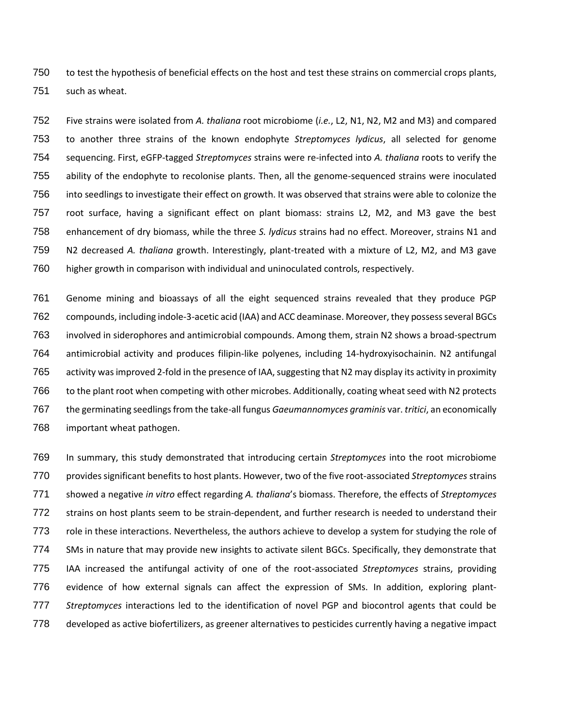to test the hypothesis of beneficial effects on the host and test these strains on commercial crops plants, such as wheat.

 Five strains were isolated from *A. thaliana* root microbiome (*i.e.*, L2, N1, N2, M2 and M3) and compared to another three strains of the known endophyte *Streptomyces lydicus*, all selected for genome sequencing. First, eGFP-tagged *Streptomyces* strains were re-infected into *A. thaliana* roots to verify the ability of the endophyte to recolonise plants. Then, all the genome-sequenced strains were inoculated into seedlings to investigate their effect on growth. It was observed that strains were able to colonize the root surface, having a significant effect on plant biomass: strains L2, M2, and M3 gave the best enhancement of dry biomass, while the three *S. lydicus* strains had no effect. Moreover, strains N1 and N2 decreased *A. thaliana* growth. Interestingly, plant-treated with a mixture of L2, M2, and M3 gave higher growth in comparison with individual and uninoculated controls, respectively.

 Genome mining and bioassays of all the eight sequenced strains revealed that they produce PGP compounds, including indole-3-acetic acid (IAA) and ACC deaminase. Moreover, they possess several BGCs involved in siderophores and antimicrobial compounds. Among them, strain N2 shows a broad-spectrum antimicrobial activity and produces filipin-like polyenes, including 14-hydroxyisochainin. N2 antifungal activity was improved 2-fold in the presence of IAA, suggesting that N2 may display its activity in proximity 766 to the plant root when competing with other microbes. Additionally, coating wheat seed with N2 protects the germinating seedlings from the take-all fungus *Gaeumannomyces graminis* var. *tritici*, an economically important wheat pathogen.

 In summary, this study demonstrated that introducing certain *Streptomyces* into the root microbiome provides significant benefits to host plants. However, two of the five root-associated *Streptomyces* strains showed a negative *in vitro* effect regarding *A. thaliana*'s biomass. Therefore, the effects of *Streptomyces* strains on host plants seem to be strain-dependent, and further research is needed to understand their role in these interactions. Nevertheless, the authors achieve to develop a system for studying the role of SMs in nature that may provide new insights to activate silent BGCs. Specifically, they demonstrate that IAA increased the antifungal activity of one of the root-associated *Streptomyces* strains, providing evidence of how external signals can affect the expression of SMs. In addition, exploring plant- *Streptomyces* interactions led to the identification of novel PGP and biocontrol agents that could be developed as active biofertilizers, as greener alternatives to pesticides currently having a negative impact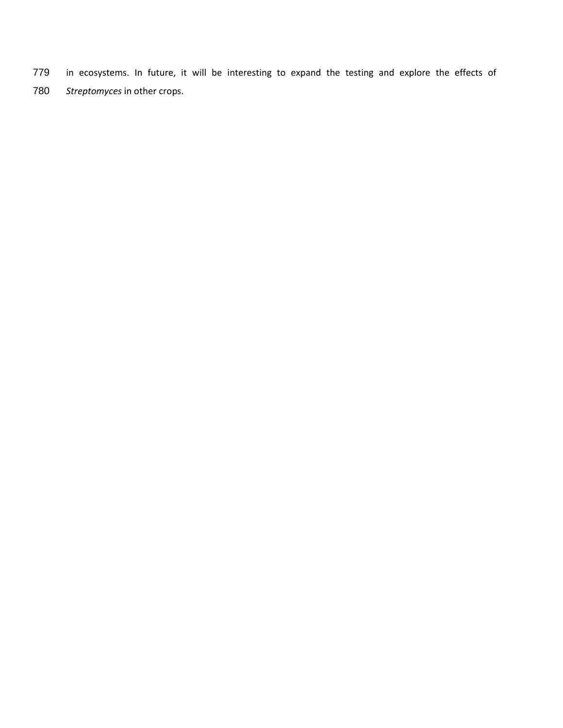- in ecosystems. In future, it will be interesting to expand the testing and explore the effects of
- *Streptomyces* in other crops.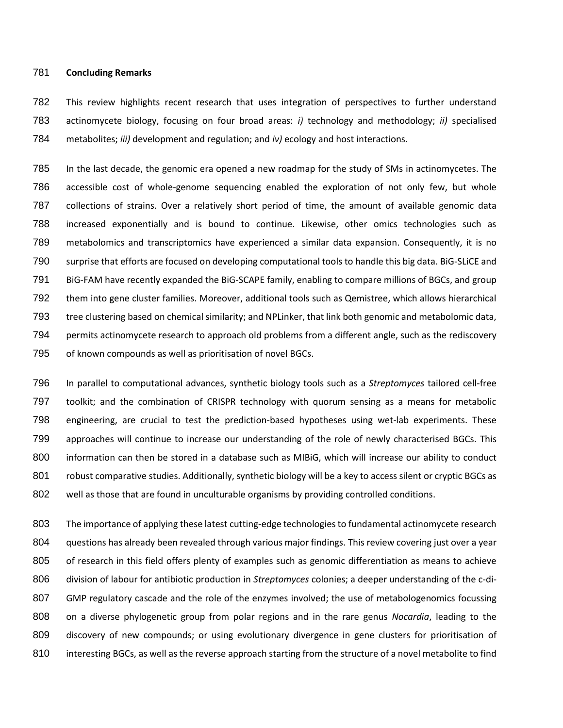### **Concluding Remarks**

 This review highlights recent research that uses integration of perspectives to further understand actinomycete biology, focusing on four broad areas: *i)* technology and methodology; *ii)* specialised metabolites; *iii)* development and regulation; and *iv)* ecology and host interactions.

 In the last decade, the genomic era opened a new roadmap for the study of SMs in actinomycetes. The accessible cost of whole-genome sequencing enabled the exploration of not only few, but whole collections of strains. Over a relatively short period of time, the amount of available genomic data increased exponentially and is bound to continue. Likewise, other omics technologies such as metabolomics and transcriptomics have experienced a similar data expansion. Consequently, it is no surprise that efforts are focused on developing computational tools to handle this big data. BiG-SLiCE and BiG-FAM have recently expanded the BiG-SCAPE family, enabling to compare millions of BGCs, and group them into gene cluster families. Moreover, additional tools such as Qemistree, which allows hierarchical tree clustering based on chemical similarity; and NPLinker, that link both genomic and metabolomic data, permits actinomycete research to approach old problems from a different angle, such as the rediscovery of known compounds as well as prioritisation of novel BGCs.

 In parallel to computational advances, synthetic biology tools such as a *Streptomyces* tailored cell-free toolkit; and the combination of CRISPR technology with quorum sensing as a means for metabolic engineering, are crucial to test the prediction-based hypotheses using wet-lab experiments. These approaches will continue to increase our understanding of the role of newly characterised BGCs. This 800 information can then be stored in a database such as MIBiG, which will increase our ability to conduct 801 robust comparative studies. Additionally, synthetic biology will be a key to access silent or cryptic BGCs as well as those that are found in unculturable organisms by providing controlled conditions.

 The importance of applying these latest cutting-edge technologies to fundamental actinomycete research questions has already been revealed through various major findings. This review covering just over a year 805 of research in this field offers plenty of examples such as genomic differentiation as means to achieve division of labour for antibiotic production in *Streptomyces* colonies; a deeper understanding of the c-di-807 GMP regulatory cascade and the role of the enzymes involved; the use of metabologenomics focussing on a diverse phylogenetic group from polar regions and in the rare genus *Nocardia*, leading to the discovery of new compounds; or using evolutionary divergence in gene clusters for prioritisation of interesting BGCs, as well as the reverse approach starting from the structure of a novel metabolite to find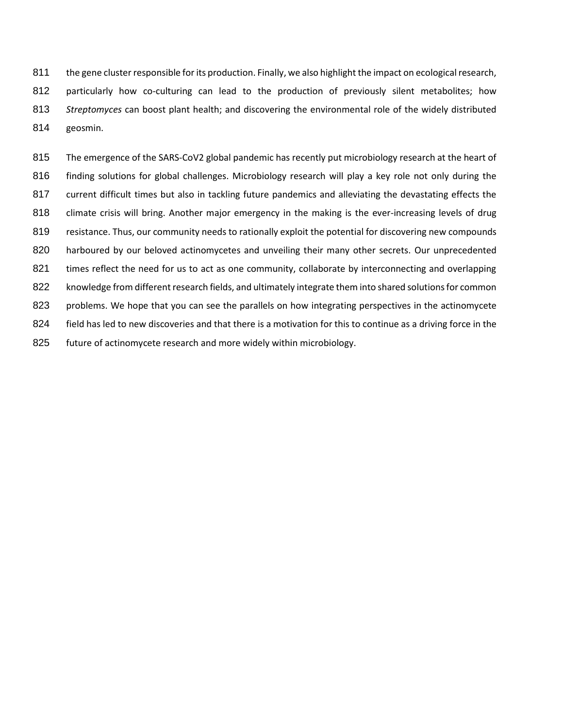the gene cluster responsible for its production. Finally, we also highlight the impact on ecological research, 812 particularly how co-culturing can lead to the production of previously silent metabolites; how *Streptomyces* can boost plant health; and discovering the environmental role of the widely distributed geosmin.

815 The emergence of the SARS-CoV2 global pandemic has recently put microbiology research at the heart of 816 finding solutions for global challenges. Microbiology research will play a key role not only during the 817 current difficult times but also in tackling future pandemics and alleviating the devastating effects the 818 climate crisis will bring. Another major emergency in the making is the ever-increasing levels of drug 819 resistance. Thus, our community needs to rationally exploit the potential for discovering new compounds 820 harboured by our beloved actinomycetes and unveiling their many other secrets. Our unprecedented 821 times reflect the need for us to act as one community, collaborate by interconnecting and overlapping 822 knowledge from different research fields, and ultimately integrate them into shared solutions for common 823 problems. We hope that you can see the parallels on how integrating perspectives in the actinomycete 824 field has led to new discoveries and that there is a motivation for this to continue as a driving force in the 825 future of actinomycete research and more widely within microbiology.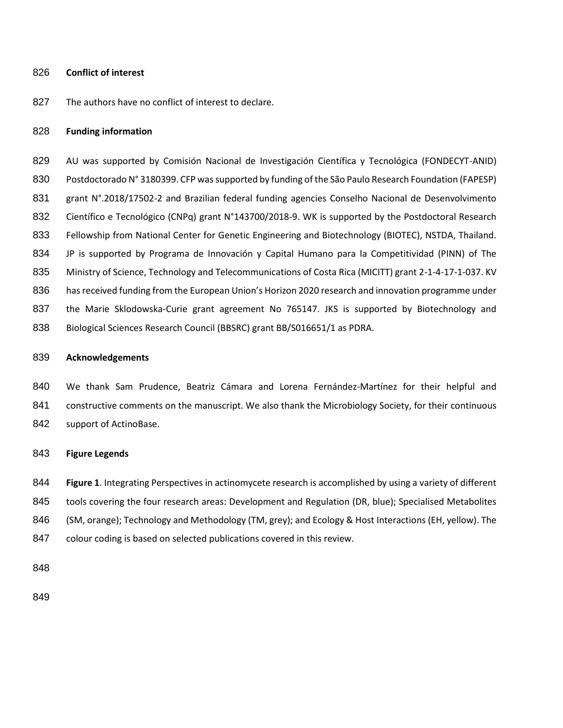#### **Conflict of interest**

827 The authors have no conflict of interest to declare.

### **Funding information**

829 AU was supported by Comisión Nacional de Investigación Científica y Tecnológica (FONDECYT-ANID) Postdoctorado N° 3180399. CFP was supported by funding of the São Paulo Research Foundation (FAPESP) 831 grant N°.2018/17502-2 and Brazilian federal funding agencies Conselho Nacional de Desenvolvimento Científico e Tecnológico (CNPq) grant N°143700/2018-9. WK is supported by the Postdoctoral Research Fellowship from National Center for Genetic Engineering and Biotechnology (BIOTEC), NSTDA, Thailand. JP is supported by Programa de Innovación y Capital Humano para la Competitividad (PINN) of The 835 Ministry of Science, Technology and Telecommunications of Costa Rica (MICITT) grant 2-1-4-17-1-037. KV has received funding from the European Union's Horizon 2020 research and innovation programme under 837 the Marie Sklodowska-Curie grant agreement No 765147. JKS is supported by Biotechnology and Biological Sciences Research Council (BBSRC) grant BB/S016651/1 as PDRA.

#### **Acknowledgements**

 We thank Sam Prudence, Beatriz Cámara and Lorena Fernández-Martínez for their helpful and 841 constructive comments on the manuscript. We also thank the Microbiology Society, for their continuous 842 support of ActinoBase.

### **Figure Legends**

 **Figure 1**. Integrating Perspectives in actinomycete research is accomplished by using a variety of different 845 tools covering the four research areas: Development and Regulation (DR, blue); Specialised Metabolites (SM, orange); Technology and Methodology (TM, grey); and Ecology & Host Interactions (EH, yellow). The colour coding is based on selected publications covered in this review.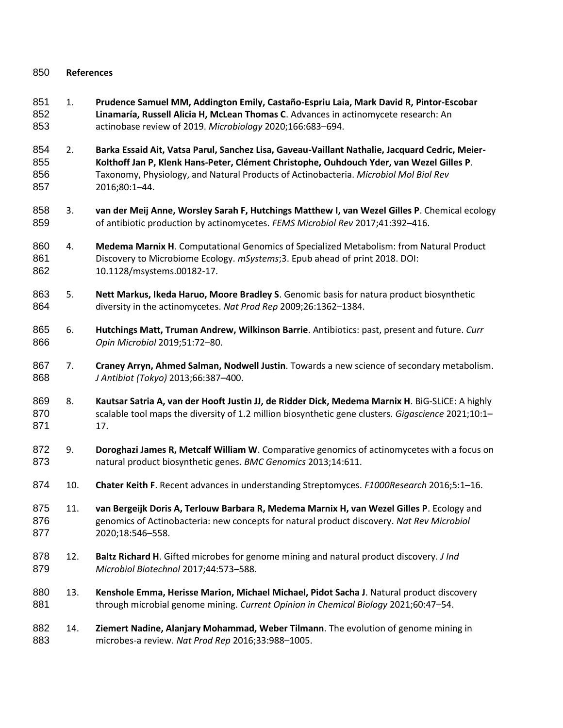# **References**

- 1. **Prudence Samuel MM, Addington Emily, Castaño-Espriu Laia, Mark David R, Pintor-Escobar Linamaría, Russell Alicia H, McLean Thomas C**. Advances in actinomycete research: An actinobase review of 2019. *Microbiology* 2020;166:683–694.
- 2. **Barka Essaid Ait, Vatsa Parul, Sanchez Lisa, Gaveau-Vaillant Nathalie, Jacquard Cedric, Meier- Kolthoff Jan P, Klenk Hans-Peter, Clément Christophe, Ouhdouch Yder, van Wezel Gilles P**. Taxonomy, Physiology, and Natural Products of Actinobacteria. *Microbiol Mol Biol Rev* 2016;80:1–44.
- 3. **van der Meij Anne, Worsley Sarah F, Hutchings Matthew I, van Wezel Gilles P**. Chemical ecology of antibiotic production by actinomycetes. *FEMS Microbiol Rev* 2017;41:392–416.
- 4. **Medema Marnix H**. Computational Genomics of Specialized Metabolism: from Natural Product Discovery to Microbiome Ecology. *mSystems*;3. Epub ahead of print 2018. DOI: 10.1128/msystems.00182-17.
- 5. **Nett Markus, Ikeda Haruo, Moore Bradley S**. Genomic basis for natura product biosynthetic diversity in the actinomycetes. *Nat Prod Rep* 2009;26:1362–1384.
- 6. **Hutchings Matt, Truman Andrew, Wilkinson Barrie**. Antibiotics: past, present and future. *Curr Opin Microbiol* 2019;51:72–80.
- 7. **Craney Arryn, Ahmed Salman, Nodwell Justin**. Towards a new science of secondary metabolism. *J Antibiot (Tokyo)* 2013;66:387–400.
- 8. **Kautsar Satria A, van der Hooft Justin JJ, de Ridder Dick, Medema Marnix H**. BiG-SLiCE: A highly scalable tool maps the diversity of 1.2 million biosynthetic gene clusters. *Gigascience* 2021;10:1– 17.
- 9. **Doroghazi James R, Metcalf William W**. Comparative genomics of actinomycetes with a focus on natural product biosynthetic genes. *BMC Genomics* 2013;14:611.
- 10. **Chater Keith F**. Recent advances in understanding Streptomyces. *F1000Research* 2016;5:1–16.
- 11. **van Bergeijk Doris A, Terlouw Barbara R, Medema Marnix H, van Wezel Gilles P**. Ecology and genomics of Actinobacteria: new concepts for natural product discovery. *Nat Rev Microbiol* 2020;18:546–558.
- 12. **Baltz Richard H**. Gifted microbes for genome mining and natural product discovery. *J Ind Microbiol Biotechnol* 2017;44:573–588.
- 13. **Kenshole Emma, Herisse Marion, Michael Michael, Pidot Sacha J**. Natural product discovery through microbial genome mining. *Current Opinion in Chemical Biology* 2021;60:47–54.
- 14. **Ziemert Nadine, Alanjary Mohammad, Weber Tilmann**. The evolution of genome mining in microbes-a review. *Nat Prod Rep* 2016;33:988–1005.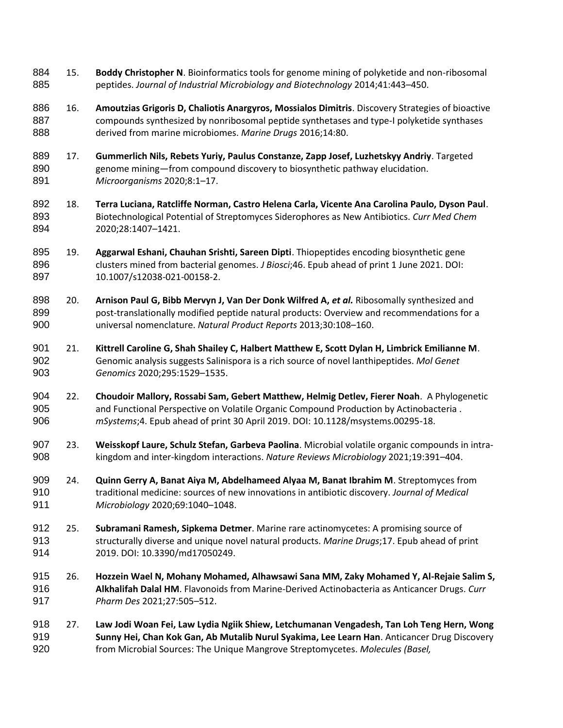- 15. **Boddy Christopher N**. Bioinformatics tools for genome mining of polyketide and non-ribosomal peptides. *Journal of Industrial Microbiology and Biotechnology* 2014;41:443–450.
- 16. **Amoutzias Grigoris D, Chaliotis Anargyros, Mossialos Dimitris**. Discovery Strategies of bioactive 887 compounds synthesized by nonribosomal peptide synthetases and type-I polyketide synthases derived from marine microbiomes. *Marine Drugs* 2016;14:80.
- 17. **Gummerlich Nils, Rebets Yuriy, Paulus Constanze, Zapp Josef, Luzhetskyy Andriy**. Targeted genome mining—from compound discovery to biosynthetic pathway elucidation. *Microorganisms* 2020;8:1–17.
- 18. **Terra Luciana, Ratcliffe Norman, Castro Helena Carla, Vicente Ana Carolina Paulo, Dyson Paul**. Biotechnological Potential of Streptomyces Siderophores as New Antibiotics. *Curr Med Chem* 2020;28:1407–1421.
- 19. **Aggarwal Eshani, Chauhan Srishti, Sareen Dipti**. Thiopeptides encoding biosynthetic gene clusters mined from bacterial genomes. *J Biosci*;46. Epub ahead of print 1 June 2021. DOI: 10.1007/s12038-021-00158-2.
- 898 20. **Arnison Paul G, Bibb Mervyn J, Van Der Donk Wilfred A, et al.** Ribosomally synthesized and post-translationally modified peptide natural products: Overview and recommendations for a universal nomenclature. *Natural Product Reports* 2013;30:108–160.
- 21. **Kittrell Caroline G, Shah Shailey C, Halbert Matthew E, Scott Dylan H, Limbrick Emilianne M**. Genomic analysis suggests Salinispora is a rich source of novel lanthipeptides. *Mol Genet Genomics* 2020;295:1529–1535.
- 22. **Choudoir Mallory, Rossabi Sam, Gebert Matthew, Helmig Detlev, Fierer Noah**. A Phylogenetic and Functional Perspective on Volatile Organic Compound Production by Actinobacteria . *mSystems*;4. Epub ahead of print 30 April 2019. DOI: 10.1128/msystems.00295-18.
- 23. **Weisskopf Laure, Schulz Stefan, Garbeva Paolina**. Microbial volatile organic compounds in intra-kingdom and inter-kingdom interactions. *Nature Reviews Microbiology* 2021;19:391–404.
- 24. **Quinn Gerry A, Banat Aiya M, Abdelhameed Alyaa M, Banat Ibrahim M**. Streptomyces from traditional medicine: sources of new innovations in antibiotic discovery. *Journal of Medical Microbiology* 2020;69:1040–1048.
- 25. **Subramani Ramesh, Sipkema Detmer**. Marine rare actinomycetes: A promising source of structurally diverse and unique novel natural products. *Marine Drugs*;17. Epub ahead of print 2019. DOI: 10.3390/md17050249.
- 26. **Hozzein Wael N, Mohany Mohamed, Alhawsawi Sana MM, Zaky Mohamed Y, Al-Rejaie Salim S, Alkhalifah Dalal HM**. Flavonoids from Marine-Derived Actinobacteria as Anticancer Drugs. *Curr Pharm Des* 2021;27:505–512.
- 27. **Law Jodi Woan Fei, Law Lydia Ngiik Shiew, Letchumanan Vengadesh, Tan Loh Teng Hern, Wong Sunny Hei, Chan Kok Gan, Ab Mutalib Nurul Syakima, Lee Learn Han**. Anticancer Drug Discovery from Microbial Sources: The Unique Mangrove Streptomycetes. *Molecules (Basel,*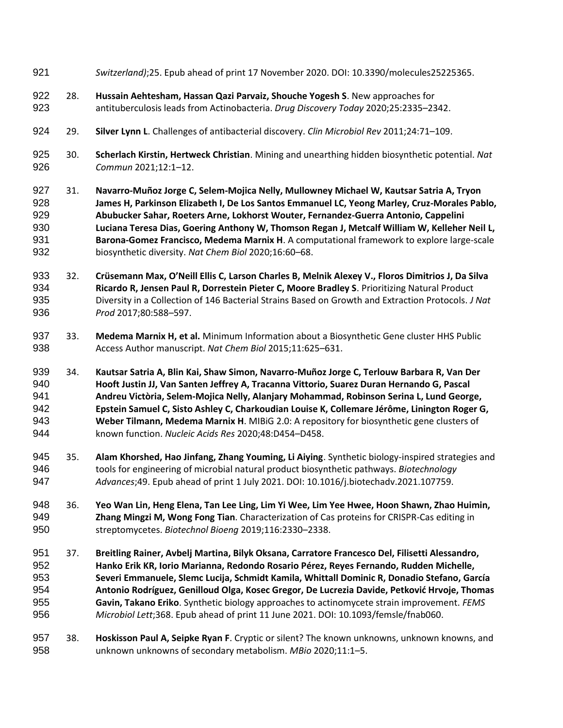*Switzerland)*;25. Epub ahead of print 17 November 2020. DOI: 10.3390/molecules25225365. 28. **Hussain Aehtesham, Hassan Qazi Parvaiz, Shouche Yogesh S**. New approaches for antituberculosis leads from Actinobacteria. *Drug Discovery Today* 2020;25:2335–2342. 29. **Silver Lynn L**. Challenges of antibacterial discovery. *Clin Microbiol Rev* 2011;24:71–109. 30. **Scherlach Kirstin, Hertweck Christian**. Mining and unearthing hidden biosynthetic potential. *Nat Commun* 2021;12:1–12. 31. **Navarro-Muñoz Jorge C, Selem-Mojica Nelly, Mullowney Michael W, Kautsar Satria A, Tryon James H, Parkinson Elizabeth I, De Los Santos Emmanuel LC, Yeong Marley, Cruz-Morales Pablo, Abubucker Sahar, Roeters Arne, Lokhorst Wouter, Fernandez-Guerra Antonio, Cappelini Luciana Teresa Dias, Goering Anthony W, Thomson Regan J, Metcalf William W, Kelleher Neil L, Barona-Gomez Francisco, Medema Marnix H**. A computational framework to explore large-scale biosynthetic diversity. *Nat Chem Biol* 2020;16:60–68. 32. **Crüsemann Max, O'Neill Ellis C, Larson Charles B, Melnik Alexey V., Floros Dimitrios J, Da Silva Ricardo R, Jensen Paul R, Dorrestein Pieter C, Moore Bradley S**. Prioritizing Natural Product Diversity in a Collection of 146 Bacterial Strains Based on Growth and Extraction Protocols. *J Nat Prod* 2017;80:588–597. 33. **Medema Marnix H, et al.** Minimum Information about a Biosynthetic Gene cluster HHS Public Access Author manuscript. *Nat Chem Biol* 2015;11:625–631. 34. **Kautsar Satria A, Blin Kai, Shaw Simon, Navarro-Muñoz Jorge C, Terlouw Barbara R, Van Der Hooft Justin JJ, Van Santen Jeffrey A, Tracanna Vittorio, Suarez Duran Hernando G, Pascal Andreu Victòria, Selem-Mojica Nelly, Alanjary Mohammad, Robinson Serina L, Lund George, Epstein Samuel C, Sisto Ashley C, Charkoudian Louise K, Collemare Jérôme, Linington Roger G, Weber Tilmann, Medema Marnix H**. MIBiG 2.0: A repository for biosynthetic gene clusters of known function. *Nucleic Acids Res* 2020;48:D454–D458. 35. **Alam Khorshed, Hao Jinfang, Zhang Youming, Li Aiying**. Synthetic biology-inspired strategies and tools for engineering of microbial natural product biosynthetic pathways. *Biotechnology Advances*;49. Epub ahead of print 1 July 2021. DOI: 10.1016/j.biotechadv.2021.107759. 36. **Yeo Wan Lin, Heng Elena, Tan Lee Ling, Lim Yi Wee, Lim Yee Hwee, Hoon Shawn, Zhao Huimin, Zhang Mingzi M, Wong Fong Tian**. Characterization of Cas proteins for CRISPR-Cas editing in streptomycetes. *Biotechnol Bioeng* 2019;116:2330–2338. 37. **Breitling Rainer, Avbelj Martina, Bilyk Oksana, Carratore Francesco Del, Filisetti Alessandro, Hanko Erik KR, Iorio Marianna, Redondo Rosario Pérez, Reyes Fernando, Rudden Michelle, Severi Emmanuele, Slemc Lucija, Schmidt Kamila, Whittall Dominic R, Donadio Stefano, García Antonio Rodríguez, Genilloud Olga, Kosec Gregor, De Lucrezia Davide, Petković Hrvoje, Thomas Gavin, Takano Eriko**. Synthetic biology approaches to actinomycete strain improvement. *FEMS Microbiol Lett*;368. Epub ahead of print 11 June 2021. DOI: 10.1093/femsle/fnab060. 38. **Hoskisson Paul A, Seipke Ryan F**. Cryptic or silent? The known unknowns, unknown knowns, and unknown unknowns of secondary metabolism. *MBio* 2020;11:1–5.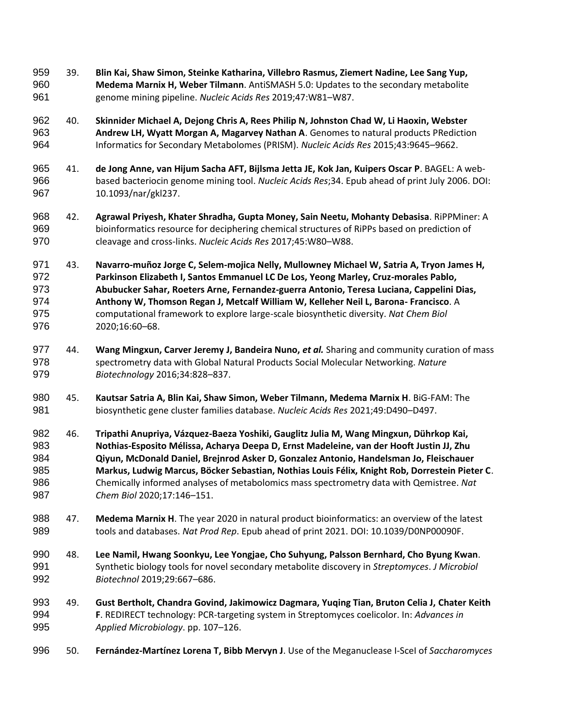- 39. **Blin Kai, Shaw Simon, Steinke Katharina, Villebro Rasmus, Ziemert Nadine, Lee Sang Yup, Medema Marnix H, Weber Tilmann**. AntiSMASH 5.0: Updates to the secondary metabolite genome mining pipeline. *Nucleic Acids Res* 2019;47:W81–W87.
- 40. **Skinnider Michael A, Dejong Chris A, Rees Philip N, Johnston Chad W, Li Haoxin, Webster Andrew LH, Wyatt Morgan A, Magarvey Nathan A**. Genomes to natural products PRediction Informatics for Secondary Metabolomes (PRISM). *Nucleic Acids Res* 2015;43:9645–9662.
- 41. **de Jong Anne, van Hijum Sacha AFT, Bijlsma Jetta JE, Kok Jan, Kuipers Oscar P**. BAGEL: A web- based bacteriocin genome mining tool. *Nucleic Acids Res*;34. Epub ahead of print July 2006. DOI: 10.1093/nar/gkl237.
- 42. **Agrawal Priyesh, Khater Shradha, Gupta Money, Sain Neetu, Mohanty Debasisa**. RiPPMiner: A bioinformatics resource for deciphering chemical structures of RiPPs based on prediction of cleavage and cross-links. *Nucleic Acids Res* 2017;45:W80–W88.
- 43. **Navarro-muñoz Jorge C, Selem-mojica Nelly, Mullowney Michael W, Satria A, Tryon James H, Parkinson Elizabeth I, Santos Emmanuel LC De Los, Yeong Marley, Cruz-morales Pablo, Abubucker Sahar, Roeters Arne, Fernandez-guerra Antonio, Teresa Luciana, Cappelini Dias, Anthony W, Thomson Regan J, Metcalf William W, Kelleher Neil L, Barona- Francisco**. A computational framework to explore large-scale biosynthetic diversity. *Nat Chem Biol* 2020;16:60–68.
- 44. **Wang Mingxun, Carver Jeremy J, Bandeira Nuno,** *et al.* Sharing and community curation of mass spectrometry data with Global Natural Products Social Molecular Networking. *Nature Biotechnology* 2016;34:828–837.
- 45. **Kautsar Satria A, Blin Kai, Shaw Simon, Weber Tilmann, Medema Marnix H**. BiG-FAM: The biosynthetic gene cluster families database. *Nucleic Acids Res* 2021;49:D490–D497.
- 46. **Tripathi Anupriya, Vázquez-Baeza Yoshiki, Gauglitz Julia M, Wang Mingxun, Dührkop Kai, Nothias-Esposito Mélissa, Acharya Deepa D, Ernst Madeleine, van der Hooft Justin JJ, Zhu Qiyun, McDonald Daniel, Brejnrod Asker D, Gonzalez Antonio, Handelsman Jo, Fleischauer Markus, Ludwig Marcus, Böcker Sebastian, Nothias Louis Félix, Knight Rob, Dorrestein Pieter C**. Chemically informed analyses of metabolomics mass spectrometry data with Qemistree. *Nat Chem Biol* 2020;17:146–151.
- 47. **Medema Marnix H**. The year 2020 in natural product bioinformatics: an overview of the latest tools and databases. *Nat Prod Rep*. Epub ahead of print 2021. DOI: 10.1039/D0NP00090F.
- 48. **Lee Namil, Hwang Soonkyu, Lee Yongjae, Cho Suhyung, Palsson Bernhard, Cho Byung Kwan**. Synthetic biology tools for novel secondary metabolite discovery in *Streptomyces*. *J Microbiol Biotechnol* 2019;29:667–686.
- 49. **Gust Bertholt, Chandra Govind, Jakimowicz Dagmara, Yuqing Tian, Bruton Celia J, Chater Keith F**. REDIRECT technology: PCR-targeting system in Streptomyces coelicolor. In: *Advances in Applied Microbiology*. pp. 107–126.
- 50. **Fernández-Martínez Lorena T, Bibb Mervyn J**. Use of the Meganuclease I-SceI of *Saccharomyces*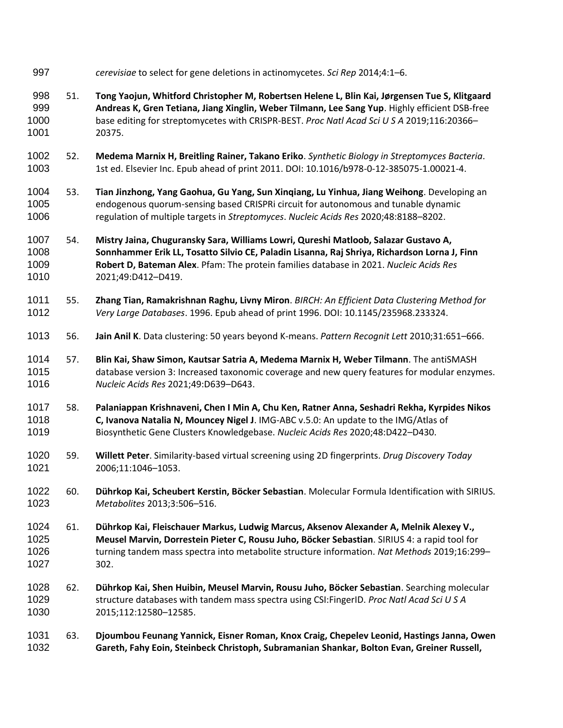- *cerevisiae* to select for gene deletions in actinomycetes. *Sci Rep* 2014;4:1–6.
- 51. **Tong Yaojun, Whitford Christopher M, Robertsen Helene L, Blin Kai, Jørgensen Tue S, Klitgaard Andreas K, Gren Tetiana, Jiang Xinglin, Weber Tilmann, Lee Sang Yup**. Highly efficient DSB-free base editing for streptomycetes with CRISPR-BEST. *Proc Natl Acad Sci U S A* 2019;116:20366– 20375.
- 52. **Medema Marnix H, Breitling Rainer, Takano Eriko**. *Synthetic Biology in Streptomyces Bacteria*. 1st ed. Elsevier Inc. Epub ahead of print 2011. DOI: 10.1016/b978-0-12-385075-1.00021-4.
- 53. **Tian Jinzhong, Yang Gaohua, Gu Yang, Sun Xinqiang, Lu Yinhua, Jiang Weihong**. Developing an endogenous quorum-sensing based CRISPRi circuit for autonomous and tunable dynamic regulation of multiple targets in *Streptomyces*. *Nucleic Acids Res* 2020;48:8188–8202.
- 54. **Mistry Jaina, Chuguransky Sara, Williams Lowri, Qureshi Matloob, Salazar Gustavo A, Sonnhammer Erik LL, Tosatto Silvio CE, Paladin Lisanna, Raj Shriya, Richardson Lorna J, Finn Robert D, Bateman Alex**. Pfam: The protein families database in 2021. *Nucleic Acids Res* 2021;49:D412–D419.
- 55. **Zhang Tian, Ramakrishnan Raghu, Livny Miron**. *BIRCH: An Efficient Data Clustering Method for Very Large Databases*. 1996. Epub ahead of print 1996. DOI: 10.1145/235968.233324.
- 56. **Jain Anil K**. Data clustering: 50 years beyond K-means. *Pattern Recognit Lett* 2010;31:651–666.
- 57. **Blin Kai, Shaw Simon, Kautsar Satria A, Medema Marnix H, Weber Tilmann**. The antiSMASH database version 3: Increased taxonomic coverage and new query features for modular enzymes. *Nucleic Acids Res* 2021;49:D639–D643.
- 58. **Palaniappan Krishnaveni, Chen I Min A, Chu Ken, Ratner Anna, Seshadri Rekha, Kyrpides Nikos C, Ivanova Natalia N, Mouncey Nigel J**. IMG-ABC v.5.0: An update to the IMG/Atlas of Biosynthetic Gene Clusters Knowledgebase. *Nucleic Acids Res* 2020;48:D422–D430.
- 59. **Willett Peter**. Similarity-based virtual screening using 2D fingerprints. *Drug Discovery Today* 2006;11:1046–1053.
- 60. **Dührkop Kai, Scheubert Kerstin, Böcker Sebastian**. Molecular Formula Identification with SIRIUS. *Metabolites* 2013;3:506–516.
- 61. **Dührkop Kai, Fleischauer Markus, Ludwig Marcus, Aksenov Alexander A, Melnik Alexey V., Meusel Marvin, Dorrestein Pieter C, Rousu Juho, Böcker Sebastian**. SIRIUS 4: a rapid tool for turning tandem mass spectra into metabolite structure information. *Nat Methods* 2019;16:299– 302.
- 62. **Dührkop Kai, Shen Huibin, Meusel Marvin, Rousu Juho, Böcker Sebastian**. Searching molecular structure databases with tandem mass spectra using CSI:FingerID. *Proc Natl Acad Sci U S A* 2015;112:12580–12585.
- 63. **Djoumbou Feunang Yannick, Eisner Roman, Knox Craig, Chepelev Leonid, Hastings Janna, Owen Gareth, Fahy Eoin, Steinbeck Christoph, Subramanian Shankar, Bolton Evan, Greiner Russell,**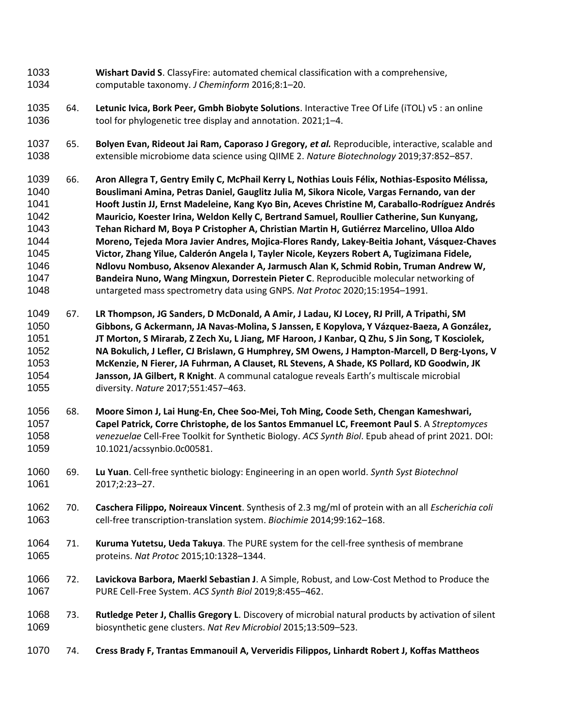- **Wishart David S**. ClassyFire: automated chemical classification with a comprehensive, computable taxonomy. *J Cheminform* 2016;8:1–20.
- 64. **Letunic Ivica, Bork Peer, Gmbh Biobyte Solutions**. Interactive Tree Of Life (iTOL) v5 : an online tool for phylogenetic tree display and annotation. 2021;1–4.
- 65. **Bolyen Evan, Rideout Jai Ram, Caporaso J Gregory,** *et al.* Reproducible, interactive, scalable and extensible microbiome data science using QIIME 2. *Nature Biotechnology* 2019;37:852–857.
- 66. **Aron Allegra T, Gentry Emily C, McPhail Kerry L, Nothias Louis Félix, Nothias-Esposito Mélissa, Bouslimani Amina, Petras Daniel, Gauglitz Julia M, Sikora Nicole, Vargas Fernando, van der Hooft Justin JJ, Ernst Madeleine, Kang Kyo Bin, Aceves Christine M, Caraballo-Rodríguez Andrés Mauricio, Koester Irina, Weldon Kelly C, Bertrand Samuel, Roullier Catherine, Sun Kunyang, Tehan Richard M, Boya P Cristopher A, Christian Martin H, Gutiérrez Marcelino, Ulloa Aldo Moreno, Tejeda Mora Javier Andres, Mojica-Flores Randy, Lakey-Beitia Johant, Vásquez-Chaves Victor, Zhang Yilue, Calderón Angela I, Tayler Nicole, Keyzers Robert A, Tugizimana Fidele, Ndlovu Nombuso, Aksenov Alexander A, Jarmusch Alan K, Schmid Robin, Truman Andrew W, Bandeira Nuno, Wang Mingxun, Dorrestein Pieter C**. Reproducible molecular networking of untargeted mass spectrometry data using GNPS. *Nat Protoc* 2020;15:1954–1991.
- 67. **LR Thompson, JG Sanders, D McDonald, A Amir, J Ladau, KJ Locey, RJ Prill, A Tripathi, SM Gibbons, G Ackermann, JA Navas-Molina, S Janssen, E Kopylova, Y Vázquez-Baeza, A González, JT Morton, S Mirarab, Z Zech Xu, L Jiang, MF Haroon, J Kanbar, Q Zhu, S Jin Song, T Kosciolek, NA Bokulich, J Lefler, CJ Brislawn, G Humphrey, SM Owens, J Hampton-Marcell, D Berg-Lyons, V McKenzie, N Fierer, JA Fuhrman, A Clauset, RL Stevens, A Shade, KS Pollard, KD Goodwin, JK Jansson, JA Gilbert, R Knight**. A communal catalogue reveals Earth's multiscale microbial diversity. *Nature* 2017;551:457–463.
- 68. **Moore Simon J, Lai Hung-En, Chee Soo-Mei, Toh Ming, Coode Seth, Chengan Kameshwari, Capel Patrick, Corre Christophe, de los Santos Emmanuel LC, Freemont Paul S**. A *Streptomyces venezuelae* Cell-Free Toolkit for Synthetic Biology. *ACS Synth Biol*. Epub ahead of print 2021. DOI: 10.1021/acssynbio.0c00581.
- 69. **Lu Yuan**. Cell-free synthetic biology: Engineering in an open world. *Synth Syst Biotechnol* 2017;2:23–27.
- 70. **Caschera Filippo, Noireaux Vincent**. Synthesis of 2.3 mg/ml of protein with an all *Escherichia coli* cell-free transcription-translation system. *Biochimie* 2014;99:162–168.
- 71. **Kuruma Yutetsu, Ueda Takuya**. The PURE system for the cell-free synthesis of membrane proteins. *Nat Protoc* 2015;10:1328–1344.
- 72. **Lavickova Barbora, Maerkl Sebastian J**. A Simple, Robust, and Low-Cost Method to Produce the PURE Cell-Free System. *ACS Synth Biol* 2019;8:455–462.
- 73. **Rutledge Peter J, Challis Gregory L**. Discovery of microbial natural products by activation of silent biosynthetic gene clusters. *Nat Rev Microbiol* 2015;13:509–523.
- 74. **Cress Brady F, Trantas Emmanouil A, Ververidis Filippos, Linhardt Robert J, Koffas Mattheos**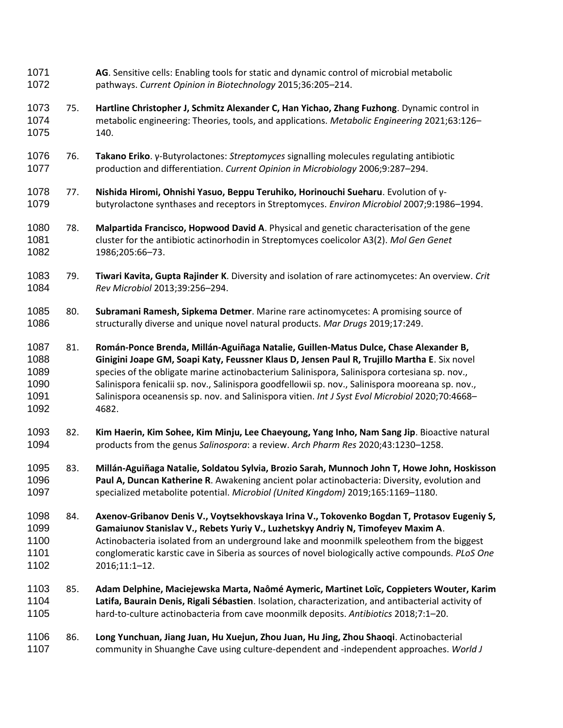75. **Hartline Christopher J, Schmitz Alexander C, Han Yichao, Zhang Fuzhong**. Dynamic control in metabolic engineering: Theories, tools, and applications. *Metabolic Engineering* 2021;63:126– 140. 76. **Takano Eriko**. γ-Butyrolactones: *Streptomyces* signalling molecules regulating antibiotic production and differentiation. *Current Opinion in Microbiology* 2006;9:287–294. 77. **Nishida Hiromi, Ohnishi Yasuo, Beppu Teruhiko, Horinouchi Sueharu**. Evolution of γ- butyrolactone synthases and receptors in Streptomyces. *Environ Microbiol* 2007;9:1986–1994. 78. **Malpartida Francisco, Hopwood David A**. Physical and genetic characterisation of the gene cluster for the antibiotic actinorhodin in Streptomyces coelicolor A3(2). *Mol Gen Genet* 1986;205:66–73. 79. **Tiwari Kavita, Gupta Rajinder K**. Diversity and isolation of rare actinomycetes: An overview. *Crit Rev Microbiol* 2013;39:256–294. 80. **Subramani Ramesh, Sipkema Detmer**. Marine rare actinomycetes: A promising source of structurally diverse and unique novel natural products. *Mar Drugs* 2019;17:249. 81. **Román-Ponce Brenda, Millán-Aguiñaga Natalie, Guillen-Matus Dulce, Chase Alexander B, Ginigini Joape GM, Soapi Katy, Feussner Klaus D, Jensen Paul R, Trujillo Martha E**. Six novel species of the obligate marine actinobacterium Salinispora, Salinispora cortesiana sp. nov., Salinispora fenicalii sp. nov., Salinispora goodfellowii sp. nov., Salinispora mooreana sp. nov., Salinispora oceanensis sp. nov. and Salinispora vitien. *Int J Syst Evol Microbiol* 2020;70:4668– 4682. 82. **Kim Haerin, Kim Sohee, Kim Minju, Lee Chaeyoung, Yang Inho, Nam Sang Jip**. Bioactive natural products from the genus *Salinospora*: a review. *Arch Pharm Res* 2020;43:1230–1258. 83. **Millán-Aguiñaga Natalie, Soldatou Sylvia, Brozio Sarah, Munnoch John T, Howe John, Hoskisson Paul A, Duncan Katherine R**. Awakening ancient polar actinobacteria: Diversity, evolution and specialized metabolite potential. *Microbiol (United Kingdom)* 2019;165:1169–1180. 84. **Axenov-Gribanov Denis V., Voytsekhovskaya Irina V., Tokovenko Bogdan T, Protasov Eugeniy S, Gamaiunov Stanislav V., Rebets Yuriy V., Luzhetskyy Andriy N, Timofeyev Maxim A**. Actinobacteria isolated from an underground lake and moonmilk speleothem from the biggest conglomeratic karstic cave in Siberia as sources of novel biologically active compounds. *PLoS One* 2016;11:1–12. 85. **Adam Delphine, Maciejewska Marta, Naômé Aymeric, Martinet Loïc, Coppieters Wouter, Karim Latifa, Baurain Denis, Rigali Sébastien**. Isolation, characterization, and antibacterial activity of hard-to-culture actinobacteria from cave moonmilk deposits. *Antibiotics* 2018;7:1–20. 86. **Long Yunchuan, Jiang Juan, Hu Xuejun, Zhou Juan, Hu Jing, Zhou Shaoqi**. Actinobacterial community in Shuanghe Cave using culture-dependent and -independent approaches. *World J* 

**AG**. Sensitive cells: Enabling tools for static and dynamic control of microbial metabolic

pathways. *Current Opinion in Biotechnology* 2015;36:205–214.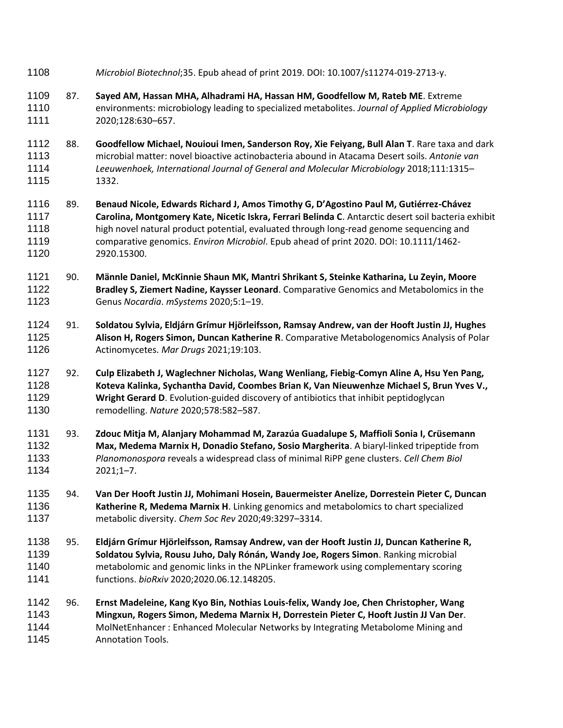- *Microbiol Biotechnol*;35. Epub ahead of print 2019. DOI: 10.1007/s11274-019-2713-y.
- 87. **Sayed AM, Hassan MHA, Alhadrami HA, Hassan HM, Goodfellow M, Rateb ME**. Extreme environments: microbiology leading to specialized metabolites. *Journal of Applied Microbiology* 2020;128:630–657.
- 88. **Goodfellow Michael, Nouioui Imen, Sanderson Roy, Xie Feiyang, Bull Alan T**. Rare taxa and dark microbial matter: novel bioactive actinobacteria abound in Atacama Desert soils. *Antonie van Leeuwenhoek, International Journal of General and Molecular Microbiology* 2018;111:1315– 1332.
- 89. **Benaud Nicole, Edwards Richard J, Amos Timothy G, D'Agostino Paul M, Gutiérrez-Chávez Carolina, Montgomery Kate, Nicetic Iskra, Ferrari Belinda C**. Antarctic desert soil bacteria exhibit high novel natural product potential, evaluated through long-read genome sequencing and comparative genomics. *Environ Microbiol*. Epub ahead of print 2020. DOI: 10.1111/1462- 2920.15300.
- 90. **Männle Daniel, McKinnie Shaun MK, Mantri Shrikant S, Steinke Katharina, Lu Zeyin, Moore Bradley S, Ziemert Nadine, Kaysser Leonard**. Comparative Genomics and Metabolomics in the Genus *Nocardia*. *mSystems* 2020;5:1–19.
- 91. **Soldatou Sylvia, Eldjárn Grímur Hjörleifsson, Ramsay Andrew, van der Hooft Justin JJ, Hughes Alison H, Rogers Simon, Duncan Katherine R**. Comparative Metabologenomics Analysis of Polar Actinomycetes. *Mar Drugs* 2021;19:103.
- 92. **Culp Elizabeth J, Waglechner Nicholas, Wang Wenliang, Fiebig-Comyn Aline A, Hsu Yen Pang, Koteva Kalinka, Sychantha David, Coombes Brian K, Van Nieuwenhze Michael S, Brun Yves V., Wright Gerard D**. Evolution-guided discovery of antibiotics that inhibit peptidoglycan remodelling. *Nature* 2020;578:582–587.
- 93. **Zdouc Mitja M, Alanjary Mohammad M, Zarazúa Guadalupe S, Maffioli Sonia I, Crüsemann Max, Medema Marnix H, Donadio Stefano, Sosio Margherita**. A biaryl-linked tripeptide from *Planomonospora* reveals a widespread class of minimal RiPP gene clusters. *Cell Chem Biol* 2021;1–7.
- 94. **Van Der Hooft Justin JJ, Mohimani Hosein, Bauermeister Anelize, Dorrestein Pieter C, Duncan Katherine R, Medema Marnix H**. Linking genomics and metabolomics to chart specialized metabolic diversity. *Chem Soc Rev* 2020;49:3297–3314.
- 95. **Eldjárn Grímur Hjörleifsson, Ramsay Andrew, van der Hooft Justin JJ, Duncan Katherine R, Soldatou Sylvia, Rousu Juho, Daly Rónán, Wandy Joe, Rogers Simon**. Ranking microbial metabolomic and genomic links in the NPLinker framework using complementary scoring functions. *bioRxiv* 2020;2020.06.12.148205.
- 96. **Ernst Madeleine, Kang Kyo Bin, Nothias Louis-felix, Wandy Joe, Chen Christopher, Wang Mingxun, Rogers Simon, Medema Marnix H, Dorrestein Pieter C, Hooft Justin JJ Van Der**. MolNetEnhancer : Enhanced Molecular Networks by Integrating Metabolome Mining and Annotation Tools.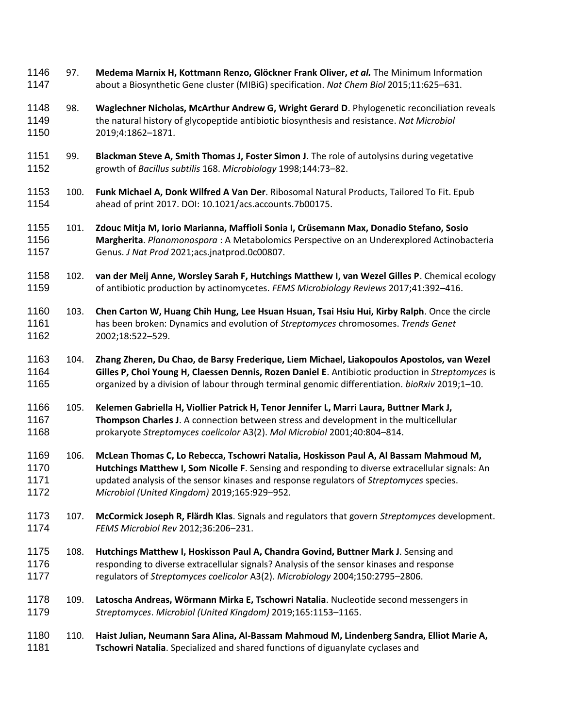- 97. **Medema Marnix H, Kottmann Renzo, Glöckner Frank Oliver,** *et al.* The Minimum Information about a Biosynthetic Gene cluster (MIBiG) specification. *Nat Chem Biol* 2015;11:625–631.
- 98. **Waglechner Nicholas, McArthur Andrew G, Wright Gerard D**. Phylogenetic reconciliation reveals the natural history of glycopeptide antibiotic biosynthesis and resistance. *Nat Microbiol* 2019;4:1862–1871.
- 99. **Blackman Steve A, Smith Thomas J, Foster Simon J**. The role of autolysins during vegetative growth of *Bacillus subtilis* 168. *Microbiology* 1998;144:73–82.
- 100. **Funk Michael A, Donk Wilfred A Van Der**. Ribosomal Natural Products, Tailored To Fit. Epub ahead of print 2017. DOI: 10.1021/acs.accounts.7b00175.
- 101. **Zdouc Mitja M, Iorio Marianna, Maffioli Sonia I, Crüsemann Max, Donadio Stefano, Sosio Margherita**. *Planomonospora* : A Metabolomics Perspective on an Underexplored Actinobacteria Genus. *J Nat Prod* 2021;acs.jnatprod.0c00807.
- 102. **van der Meij Anne, Worsley Sarah F, Hutchings Matthew I, van Wezel Gilles P**. Chemical ecology of antibiotic production by actinomycetes. *FEMS Microbiology Reviews* 2017;41:392–416.
- 103. **Chen Carton W, Huang Chih Hung, Lee Hsuan Hsuan, Tsai Hsiu Hui, Kirby Ralph**. Once the circle has been broken: Dynamics and evolution of *Streptomyces* chromosomes. *Trends Genet* 2002;18:522–529.
- 104. **Zhang Zheren, Du Chao, de Barsy Frederique, Liem Michael, Liakopoulos Apostolos, van Wezel Gilles P, Choi Young H, Claessen Dennis, Rozen Daniel E**. Antibiotic production in *Streptomyces* is organized by a division of labour through terminal genomic differentiation. *bioRxiv* 2019;1–10.
- 105. **Kelemen Gabriella H, Viollier Patrick H, Tenor Jennifer L, Marri Laura, Buttner Mark J, Thompson Charles J**. A connection between stress and development in the multicellular prokaryote *Streptomyces coelicolor* A3(2). *Mol Microbiol* 2001;40:804–814.
- 106. **McLean Thomas C, Lo Rebecca, Tschowri Natalia, Hoskisson Paul A, Al Bassam Mahmoud M, Hutchings Matthew I, Som Nicolle F**. Sensing and responding to diverse extracellular signals: An updated analysis of the sensor kinases and response regulators of *Streptomyces* species. *Microbiol (United Kingdom)* 2019;165:929–952.
- 107. **McCormick Joseph R, Flärdh Klas**. Signals and regulators that govern *Streptomyces* development. *FEMS Microbiol Rev* 2012;36:206–231.
- 108. **Hutchings Matthew I, Hoskisson Paul A, Chandra Govind, Buttner Mark J**. Sensing and responding to diverse extracellular signals? Analysis of the sensor kinases and response regulators of *Streptomyces coelicolor* A3(2). *Microbiology* 2004;150:2795–2806.
- 109. **Latoscha Andreas, Wörmann Mirka E, Tschowri Natalia**. Nucleotide second messengers in *Streptomyces*. *Microbiol (United Kingdom)* 2019;165:1153–1165.
- 110. **Haist Julian, Neumann Sara Alina, Al-Bassam Mahmoud M, Lindenberg Sandra, Elliot Marie A, Tschowri Natalia**. Specialized and shared functions of diguanylate cyclases and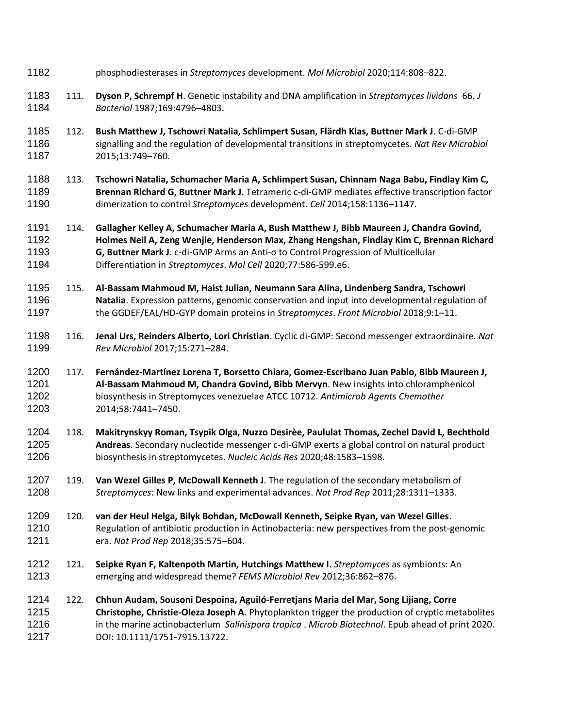- phosphodiesterases in *Streptomyces* development. *Mol Microbiol* 2020;114:808–822.
- 111. **Dyson P, Schrempf H**. Genetic instability and DNA amplification in *Streptomyces lividans* 66. *J Bacteriol* 1987;169:4796–4803.
- 112. **Bush Matthew J, Tschowri Natalia, Schlimpert Susan, Flärdh Klas, Buttner Mark J**. C-di-GMP signalling and the regulation of developmental transitions in streptomycetes. *Nat Rev Microbiol* 2015;13:749–760.
- 113. **Tschowri Natalia, Schumacher Maria A, Schlimpert Susan, Chinnam Naga Babu, Findlay Kim C, Brennan Richard G, Buttner Mark J**. Tetrameric c-di-GMP mediates effective transcription factor dimerization to control *Streptomyces* development. *Cell* 2014;158:1136–1147.
- 114. **Gallagher Kelley A, Schumacher Maria A, Bush Matthew J, Bibb Maureen J, Chandra Govind, Holmes Neil A, Zeng Wenjie, Henderson Max, Zhang Hengshan, Findlay Kim C, Brennan Richard G, Buttner Mark J**. c-di-GMP Arms an Anti-σ to Control Progression of Multicellular Differentiation in *Streptomyces*. *Mol Cell* 2020;77:586-599.e6.
- 115. **Al-Bassam Mahmoud M, Haist Julian, Neumann Sara Alina, Lindenberg Sandra, Tschowri Natalia**. Expression patterns, genomic conservation and input into developmental regulation of the GGDEF/EAL/HD-GYP domain proteins in *Streptomyces*. *Front Microbiol* 2018;9:1–11.
- 116. **Jenal Urs, Reinders Alberto, Lori Christian**. Cyclic di-GMP: Second messenger extraordinaire. *Nat Rev Microbiol* 2017;15:271–284.
- 117. **Fernández-Martínez Lorena T, Borsetto Chiara, Gomez-Escribano Juan Pablo, Bibb Maureen J, Al-Bassam Mahmoud M, Chandra Govind, Bibb Mervyn**. New insights into chloramphenicol biosynthesis in Streptomyces venezuelae ATCC 10712. *Antimicrob Agents Chemother* 2014;58:7441–7450.
- 118. **Makitrynskyy Roman, Tsypik Olga, Nuzzo Desirèe, Paululat Thomas, Zechel David L, Bechthold Andreas**. Secondary nucleotide messenger c-di-GMP exerts a global control on natural product biosynthesis in streptomycetes. *Nucleic Acids Res* 2020;48:1583–1598.
- 119. **Van Wezel Gilles P, McDowall Kenneth J**. The regulation of the secondary metabolism of *Streptomyces*: New links and experimental advances. *Nat Prod Rep* 2011;28:1311–1333.
- 120. **van der Heul Helga, Bilyk Bohdan, McDowall Kenneth, Seipke Ryan, van Wezel Gilles**. Regulation of antibiotic production in Actinobacteria: new perspectives from the post-genomic era. *Nat Prod Rep* 2018;35:575–604.
- 121. **Seipke Ryan F, Kaltenpoth Martin, Hutchings Matthew I**. *Streptomyces* as symbionts: An emerging and widespread theme? *FEMS Microbiol Rev* 2012;36:862–876.
- 122. **Chhun Audam, Sousoni Despoina, Aguiló-Ferretjans Maria del Mar, Song Lijiang, Corre Christophe, Christie-Oleza Joseph A**. Phytoplankton trigger the production of cryptic metabolites in the marine actinobacterium *Salinispora tropica* . *Microb Biotechnol*. Epub ahead of print 2020. DOI: 10.1111/1751-7915.13722.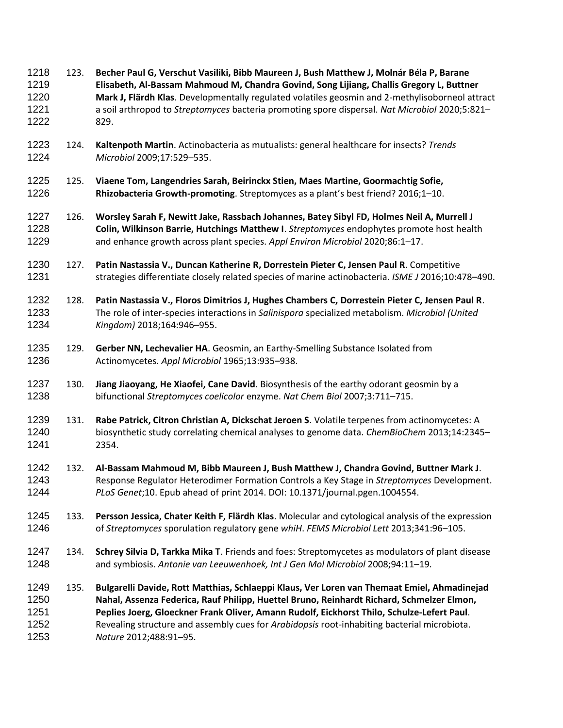123. **Becher Paul G, Verschut Vasiliki, Bibb Maureen J, Bush Matthew J, Molnár Béla P, Barane Elisabeth, Al-Bassam Mahmoud M, Chandra Govind, Song Lijiang, Challis Gregory L, Buttner Mark J, Flärdh Klas**. Developmentally regulated volatiles geosmin and 2-methylisoborneol attract a soil arthropod to *Streptomyces* bacteria promoting spore dispersal. *Nat Microbiol* 2020;5:821– 829. 124. **Kaltenpoth Martin**. Actinobacteria as mutualists: general healthcare for insects? *Trends Microbiol* 2009;17:529–535. 125. **Viaene Tom, Langendries Sarah, Beirinckx Stien, Maes Martine, Goormachtig Sofie, Rhizobacteria Growth-promoting**. Streptomyces as a plant's best friend? 2016;1–10. 126. **Worsley Sarah F, Newitt Jake, Rassbach Johannes, Batey Sibyl FD, Holmes Neil A, Murrell J Colin, Wilkinson Barrie, Hutchings Matthew I**. *Streptomyces* endophytes promote host health and enhance growth across plant species. *Appl Environ Microbiol* 2020;86:1–17. 127. **Patin Nastassia V., Duncan Katherine R, Dorrestein Pieter C, Jensen Paul R**. Competitive strategies differentiate closely related species of marine actinobacteria. *ISME J* 2016;10:478–490. 128. **Patin Nastassia V., Floros Dimitrios J, Hughes Chambers C, Dorrestein Pieter C, Jensen Paul R**. The role of inter-species interactions in *Salinispora* specialized metabolism. *Microbiol (United Kingdom)* 2018;164:946–955. 129. **Gerber NN, Lechevalier HA**. Geosmin, an Earthy-Smelling Substance Isolated from Actinomycetes. *Appl Microbiol* 1965;13:935–938. 130. **Jiang Jiaoyang, He Xiaofei, Cane David**. Biosynthesis of the earthy odorant geosmin by a bifunctional *Streptomyces coelicolor* enzyme. *Nat Chem Biol* 2007;3:711–715. 131. **Rabe Patrick, Citron Christian A, Dickschat Jeroen S**. Volatile terpenes from actinomycetes: A biosynthetic study correlating chemical analyses to genome data. *ChemBioChem* 2013;14:2345– 2354. 132. **Al-Bassam Mahmoud M, Bibb Maureen J, Bush Matthew J, Chandra Govind, Buttner Mark J**. Response Regulator Heterodimer Formation Controls a Key Stage in *Streptomyces* Development. *PLoS Genet*;10. Epub ahead of print 2014. DOI: 10.1371/journal.pgen.1004554. 133. **Persson Jessica, Chater Keith F, Flärdh Klas**. Molecular and cytological analysis of the expression of *Streptomyces* sporulation regulatory gene *whiH*. *FEMS Microbiol Lett* 2013;341:96–105. 134. **Schrey Silvia D, Tarkka Mika T**. Friends and foes: Streptomycetes as modulators of plant disease and symbiosis. *Antonie van Leeuwenhoek, Int J Gen Mol Microbiol* 2008;94:11–19. 135. **Bulgarelli Davide, Rott Matthias, Schlaeppi Klaus, Ver Loren van Themaat Emiel, Ahmadinejad Nahal, Assenza Federica, Rauf Philipp, Huettel Bruno, Reinhardt Richard, Schmelzer Elmon, Peplies Joerg, Gloeckner Frank Oliver, Amann Rudolf, Eickhorst Thilo, Schulze-Lefert Paul**. Revealing structure and assembly cues for *Arabidopsis* root-inhabiting bacterial microbiota. *Nature* 2012;488:91–95.